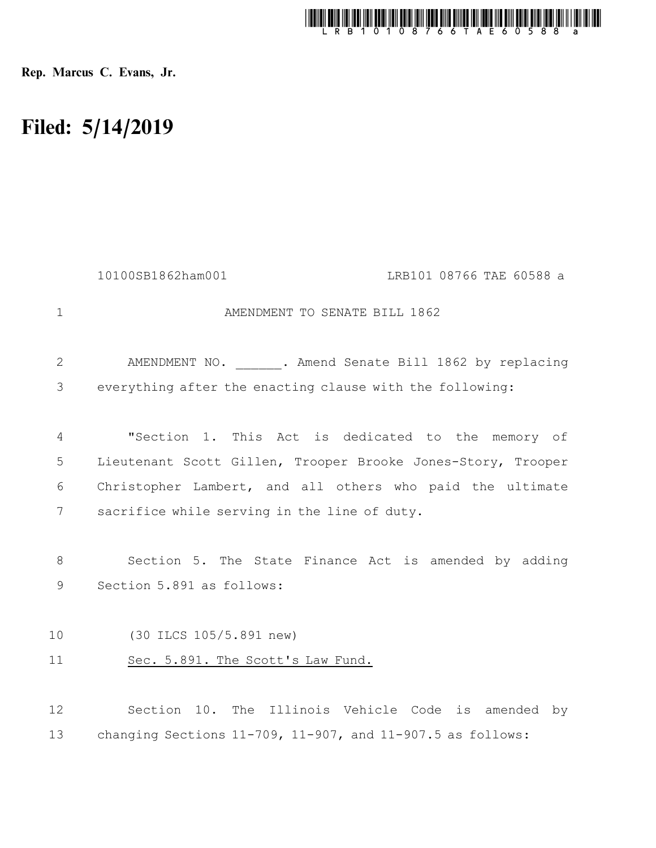

Rep. Marcus C. Evans, Jr.

## Filed: 5/14/2019

|                | 10100SB1862ham001<br>LRB101 08766 TAE 60588 a                                      |  |
|----------------|------------------------------------------------------------------------------------|--|
| $\mathbf 1$    | AMENDMENT TO SENATE BILL 1862                                                      |  |
| $\mathbf{2}$   | AMENDMENT NO. ______. Amend Senate Bill 1862 by replacing                          |  |
| 3              | everything after the enacting clause with the following:                           |  |
| $\overline{4}$ | "Section 1. This Act is dedicated to the memory of                                 |  |
| 5              | Lieutenant Scott Gillen, Trooper Brooke Jones-Story, Trooper                       |  |
| 6              | Christopher Lambert, and all others who paid the ultimate                          |  |
| 7              | sacrifice while serving in the line of duty.                                       |  |
| 8<br>9         | Section 5. The State Finance Act is amended by adding<br>Section 5.891 as follows: |  |
|                |                                                                                    |  |
| 10             | (30 ILCS 105/5.891 new)                                                            |  |
| 11             | Sec. 5.891. The Scott's Law Fund.                                                  |  |
| 12             | Section 10. The Illinois Vehicle Code is amended by                                |  |
| 13             | changing Sections $11-709$ , $11-907$ , and $11-907.5$ as follows:                 |  |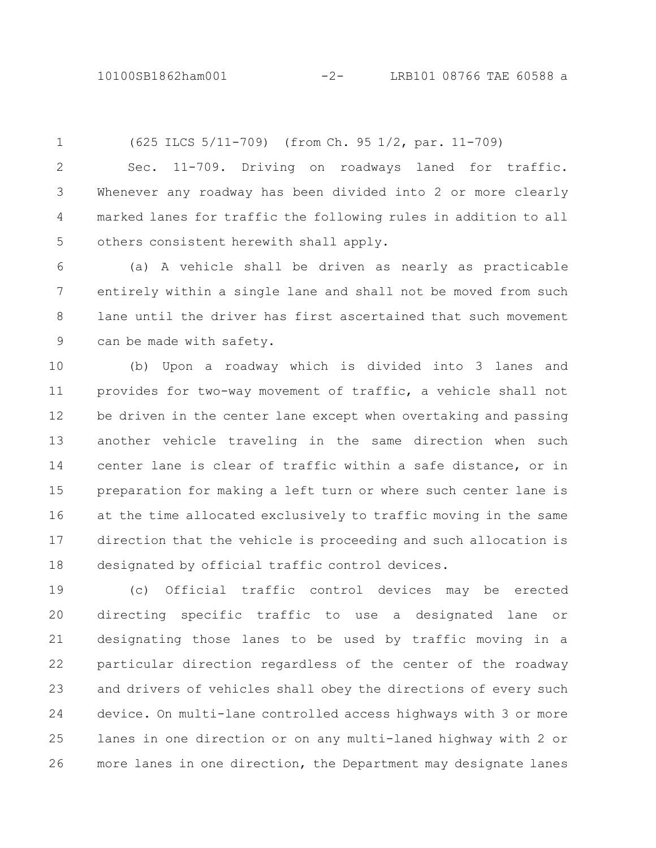## 10100SB1862ham001 -2- LRB101 08766 TAE 60588 a

1

(625 ILCS 5/11-709) (from Ch. 95 1/2, par. 11-709)

Sec. 11-709. Driving on roadways laned for traffic. Whenever any roadway has been divided into 2 or more clearly marked lanes for traffic the following rules in addition to all others consistent herewith shall apply. 2 3 4 5

(a) A vehicle shall be driven as nearly as practicable entirely within a single lane and shall not be moved from such lane until the driver has first ascertained that such movement can be made with safety. 6 7 8 9

(b) Upon a roadway which is divided into 3 lanes and provides for two-way movement of traffic, a vehicle shall not be driven in the center lane except when overtaking and passing another vehicle traveling in the same direction when such center lane is clear of traffic within a safe distance, or in preparation for making a left turn or where such center lane is at the time allocated exclusively to traffic moving in the same direction that the vehicle is proceeding and such allocation is designated by official traffic control devices. 10 11 12 13 14 15 16 17 18

(c) Official traffic control devices may be erected directing specific traffic to use a designated lane or designating those lanes to be used by traffic moving in a particular direction regardless of the center of the roadway and drivers of vehicles shall obey the directions of every such device. On multi-lane controlled access highways with 3 or more lanes in one direction or on any multi-laned highway with 2 or more lanes in one direction, the Department may designate lanes 19 20 21 22 23 24 25 26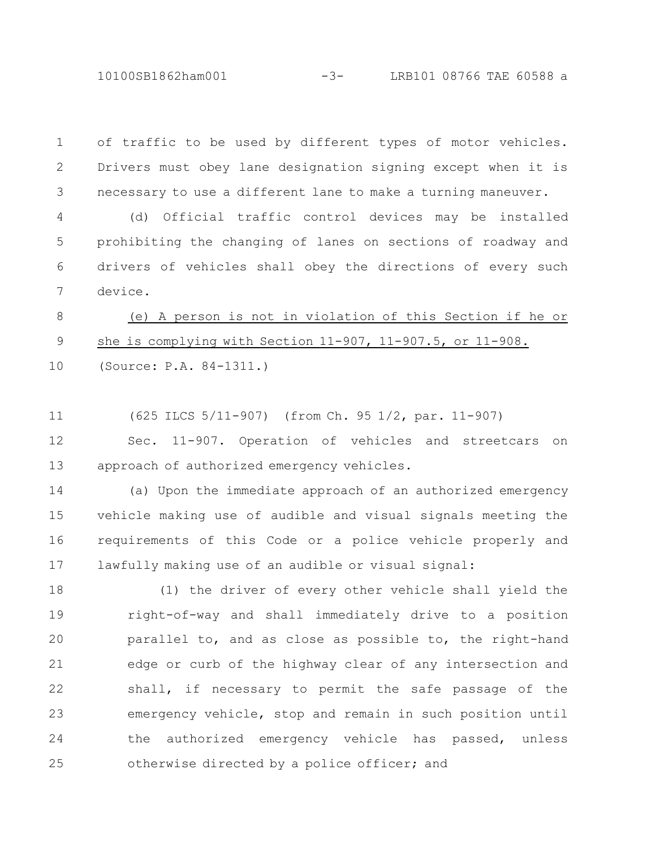10100SB1862ham001 -3- LRB101 08766 TAE 60588 a

of traffic to be used by different types of motor vehicles. Drivers must obey lane designation signing except when it is necessary to use a different lane to make a turning maneuver. 1 2 3

(d) Official traffic control devices may be installed prohibiting the changing of lanes on sections of roadway and drivers of vehicles shall obey the directions of every such device. 4 5 6 7

(e) A person is not in violation of this Section if he or she is complying with Section 11-907, 11-907.5, or 11-908. (Source: P.A. 84-1311.) 8 9 10

(625 ILCS 5/11-907) (from Ch. 95 1/2, par. 11-907) 11

Sec. 11-907. Operation of vehicles and streetcars on approach of authorized emergency vehicles. 12 13

(a) Upon the immediate approach of an authorized emergency vehicle making use of audible and visual signals meeting the requirements of this Code or a police vehicle properly and lawfully making use of an audible or visual signal: 14 15 16 17

(1) the driver of every other vehicle shall yield the right-of-way and shall immediately drive to a position parallel to, and as close as possible to, the right-hand edge or curb of the highway clear of any intersection and shall, if necessary to permit the safe passage of the emergency vehicle, stop and remain in such position until the authorized emergency vehicle has passed, unless otherwise directed by a police officer; and 18 19 20 21 22 23 24 25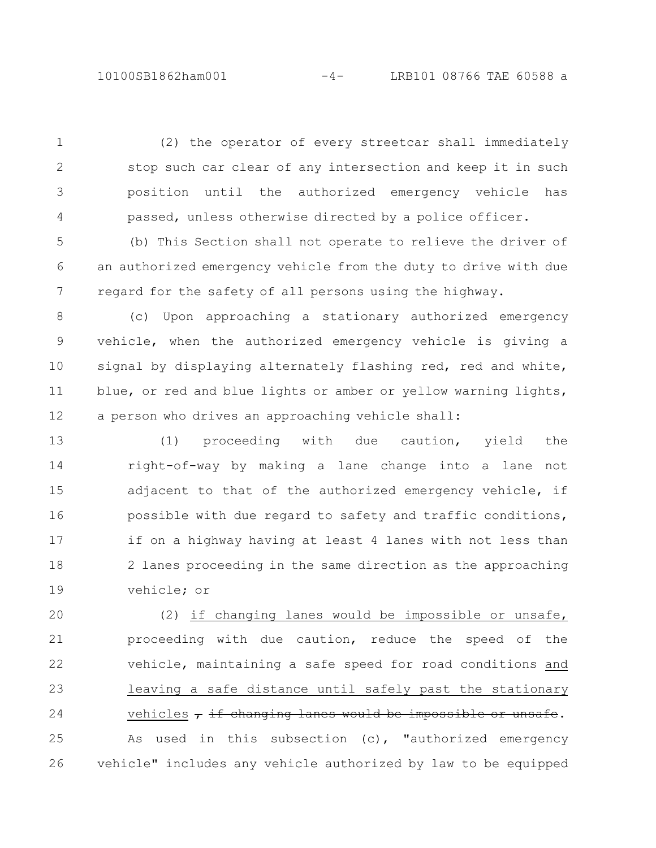(2) the operator of every streetcar shall immediately stop such car clear of any intersection and keep it in such position until the authorized emergency vehicle has passed, unless otherwise directed by a police officer. 1 2 3 4

(b) This Section shall not operate to relieve the driver of an authorized emergency vehicle from the duty to drive with due regard for the safety of all persons using the highway. 5 6 7

(c) Upon approaching a stationary authorized emergency vehicle, when the authorized emergency vehicle is giving a signal by displaying alternately flashing red, red and white, blue, or red and blue lights or amber or yellow warning lights, a person who drives an approaching vehicle shall: 8 9 10 11 12

(1) proceeding with due caution, yield the right-of-way by making a lane change into a lane not adjacent to that of the authorized emergency vehicle, if possible with due regard to safety and traffic conditions, if on a highway having at least 4 lanes with not less than 2 lanes proceeding in the same direction as the approaching vehicle; or 13 14 15 16 17 18 19

(2) if changing lanes would be impossible or unsafe, proceeding with due caution, reduce the speed of the vehicle, maintaining a safe speed for road conditions and leaving a safe distance until safely past the stationary vehicles  $\tau$  if changing lanes would be impossible or unsafe. As used in this subsection (c), "authorized emergency vehicle" includes any vehicle authorized by law to be equipped 20 21 22 23 24 25 26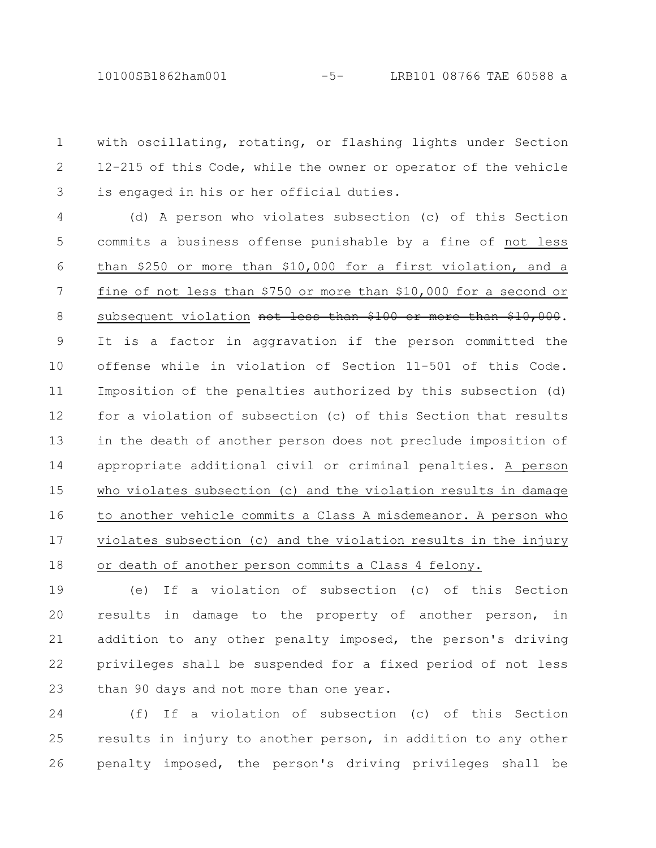with oscillating, rotating, or flashing lights under Section 12-215 of this Code, while the owner or operator of the vehicle is engaged in his or her official duties. 1 2 3

(d) A person who violates subsection (c) of this Section commits a business offense punishable by a fine of not less than \$250 or more than \$10,000 for a first violation, and a fine of not less than \$750 or more than \$10,000 for a second or subsequent violation not less than \$100 or more than \$10,000. It is a factor in aggravation if the person committed the offense while in violation of Section 11-501 of this Code. Imposition of the penalties authorized by this subsection (d) for a violation of subsection (c) of this Section that results in the death of another person does not preclude imposition of appropriate additional civil or criminal penalties. A person who violates subsection (c) and the violation results in damage to another vehicle commits a Class A misdemeanor. A person who violates subsection (c) and the violation results in the injury or death of another person commits a Class 4 felony. 4 5 6 7 8 9 10 11 12 13 14 15 16 17 18

(e) If a violation of subsection (c) of this Section results in damage to the property of another person, in addition to any other penalty imposed, the person's driving privileges shall be suspended for a fixed period of not less than 90 days and not more than one year. 19 20 21 22 23

(f) If a violation of subsection (c) of this Section results in injury to another person, in addition to any other penalty imposed, the person's driving privileges shall be 24 25 26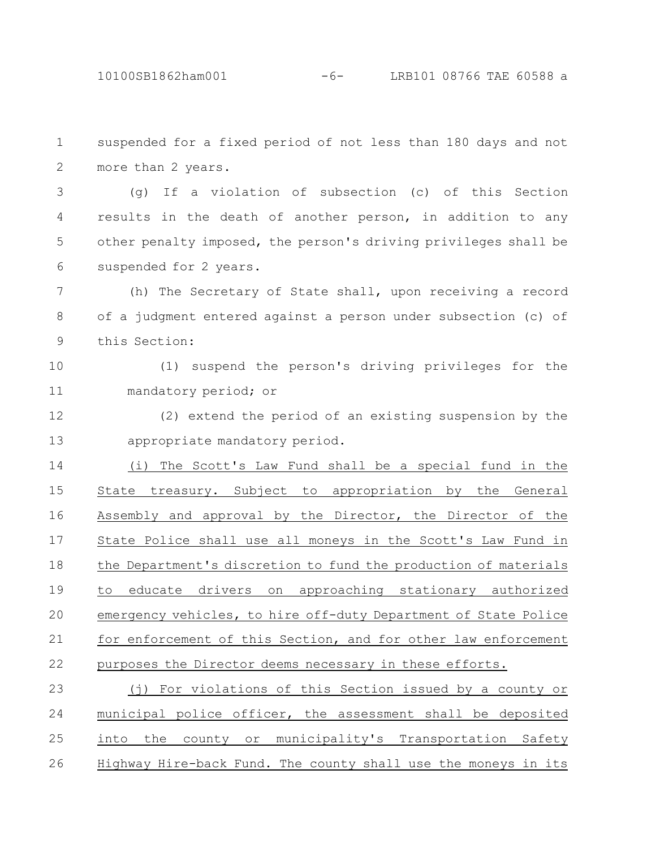suspended for a fixed period of not less than 180 days and not more than 2 years. (g) If a violation of subsection (c) of this Section results in the death of another person, in addition to any other penalty imposed, the person's driving privileges shall be suspended for 2 years. (h) The Secretary of State shall, upon receiving a record of a judgment entered against a person under subsection (c) of this Section: (1) suspend the person's driving privileges for the mandatory period; or (2) extend the period of an existing suspension by the appropriate mandatory period. (i) The Scott's Law Fund shall be a special fund in the State treasury. Subject to appropriation by the General Assembly and approval by the Director, the Director of the State Police shall use all moneys in the Scott's Law Fund in the Department's discretion to fund the production of materials to educate drivers on approaching stationary authorized emergency vehicles, to hire off-duty Department of State Police for enforcement of this Section, and for other law enforcement purposes the Director deems necessary in these efforts. (j) For violations of this Section issued by a county or 1 2 3 4 5 6 7 8 9 10 11 12 13 14 15 16 17 18 19 20 21 22 23

municipal police officer, the assessment shall be deposited into the county or municipality's Transportation Safety Highway Hire-back Fund. The county shall use the moneys in its 24 25 26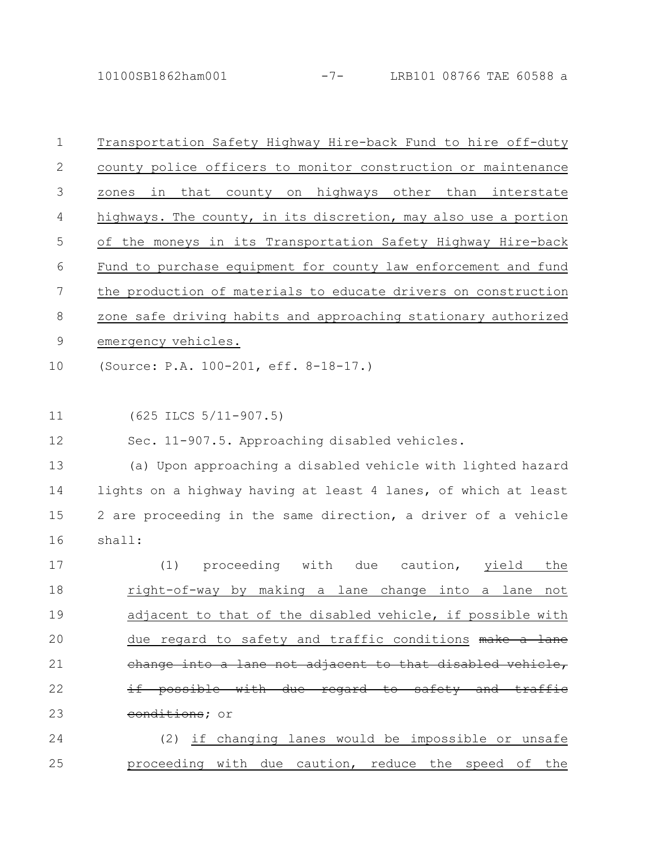10100SB1862ham001 -7- LRB101 08766 TAE 60588 a

| $\mathbf 1$ | Transportation Safety Highway Hire-back Fund to hire off-duty   |
|-------------|-----------------------------------------------------------------|
| 2           | county police officers to monitor construction or maintenance   |
| 3           | in that county on highways other than interstate<br>zones       |
| 4           | highways. The county, in its discretion, may also use a portion |
| 5           | of the moneys in its Transportation Safety Highway Hire-back    |
| 6           | Fund to purchase equipment for county law enforcement and fund  |
| 7           | the production of materials to educate drivers on construction  |
| 8           | zone safe driving habits and approaching stationary authorized  |
| 9           | emergency vehicles.                                             |
| 10          | (Source: P.A. 100-201, eff. 8-18-17.)                           |
|             |                                                                 |
| 11          | $(625$ ILCS $5/11-907.5)$                                       |
| 12          | Sec. 11-907.5. Approaching disabled vehicles.                   |
| 13          | (a) Upon approaching a disabled vehicle with lighted hazard     |
| 14          | lights on a highway having at least 4 lanes, of which at least  |
| 15          | 2 are proceeding in the same direction, a driver of a vehicle   |
| 16          | shall:                                                          |
| 17          | proceeding with<br>(1)<br>due<br>caution,<br>yield<br>the       |
| 18          | right-of-way by making a lane change into<br>lane<br>not<br>a   |
| 19          | adjacent to that of the disabled vehicle, if possible with      |
| 20          | due regard to safety and traffic conditions make a lane         |
| 21          | change into a lane not adjacent to that disabled vehicle,       |
| 22          | if possible with due regard to safety and traffic               |
| 23          | conditions; or                                                  |
| 24          | (2) if changing lanes would be impossible or unsafe             |
|             |                                                                 |

proceeding with due caution, reduce the speed of the 25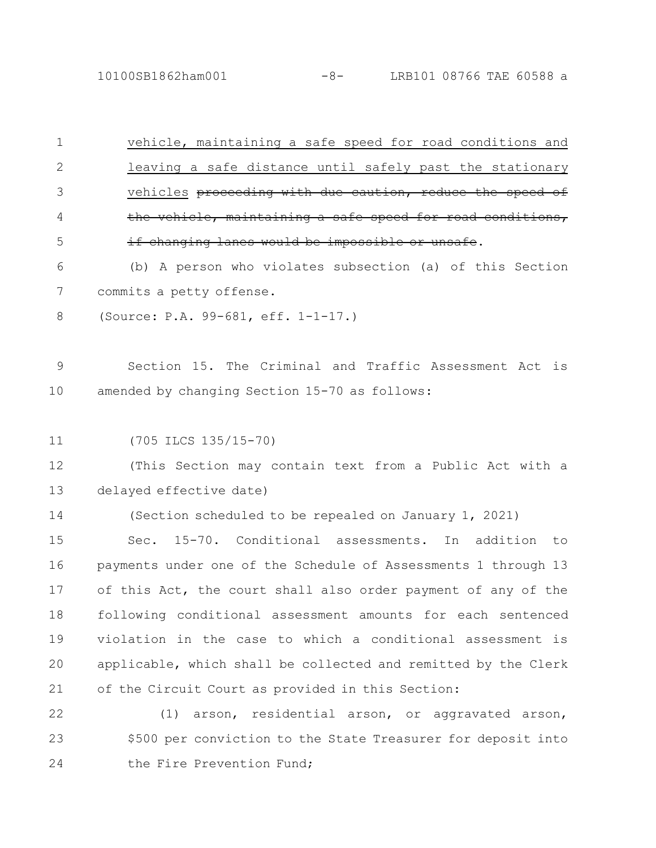10100SB1862ham001 -8- LRB101 08766 TAE 60588 a

vehicle, maintaining a safe speed for road conditions and leaving a safe distance until safely past the stationary vehicles proceeding with due caution, reduce the speed of the vehicle, maintaining a safe speed for road conditions, if changing lanes would be impossible or unsafe. (b) A person who violates subsection (a) of this Section commits a petty offense. (Source: P.A. 99-681, eff. 1-1-17.) Section 15. The Criminal and Traffic Assessment Act is amended by changing Section 15-70 as follows: (705 ILCS 135/15-70) (This Section may contain text from a Public Act with a delayed effective date) (Section scheduled to be repealed on January 1, 2021) Sec. 15-70. Conditional assessments. In addition to payments under one of the Schedule of Assessments 1 through 13 of this Act, the court shall also order payment of any of the following conditional assessment amounts for each sentenced violation in the case to which a conditional assessment is 1 2 3 4 5 6 7 8 9 10 11 12 13 14 15 16 17 18 19

applicable, which shall be collected and remitted by the Clerk of the Circuit Court as provided in this Section: 21

20

(1) arson, residential arson, or aggravated arson, \$500 per conviction to the State Treasurer for deposit into the Fire Prevention Fund; 22 23 24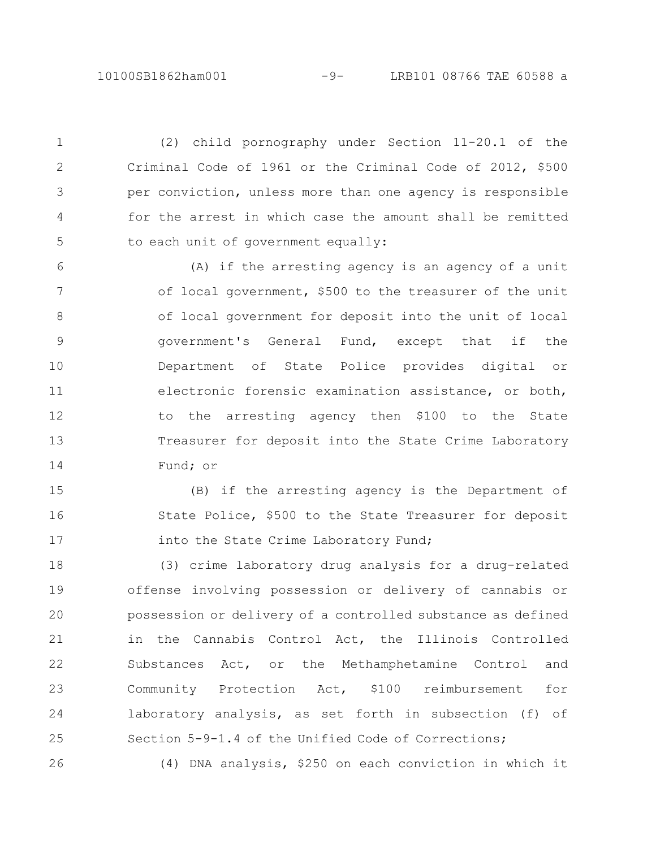10100SB1862ham001 -9- LRB101 08766 TAE 60588 a

(2) child pornography under Section 11-20.1 of the Criminal Code of 1961 or the Criminal Code of 2012, \$500 per conviction, unless more than one agency is responsible for the arrest in which case the amount shall be remitted to each unit of government equally: 1 2 3 4 5

(A) if the arresting agency is an agency of a unit of local government, \$500 to the treasurer of the unit of local government for deposit into the unit of local government's General Fund, except that if the Department of State Police provides digital or electronic forensic examination assistance, or both, to the arresting agency then \$100 to the State Treasurer for deposit into the State Crime Laboratory Fund; or 6 7 8 9 10 11 12 13 14

(B) if the arresting agency is the Department of State Police, \$500 to the State Treasurer for deposit into the State Crime Laboratory Fund; 15 16 17

(3) crime laboratory drug analysis for a drug-related offense involving possession or delivery of cannabis or possession or delivery of a controlled substance as defined in the Cannabis Control Act, the Illinois Controlled Substances Act, or the Methamphetamine Control and Community Protection Act, \$100 reimbursement for laboratory analysis, as set forth in subsection (f) of Section 5-9-1.4 of the Unified Code of Corrections; 18 19 20 21 22 23 24 25

26

(4) DNA analysis, \$250 on each conviction in which it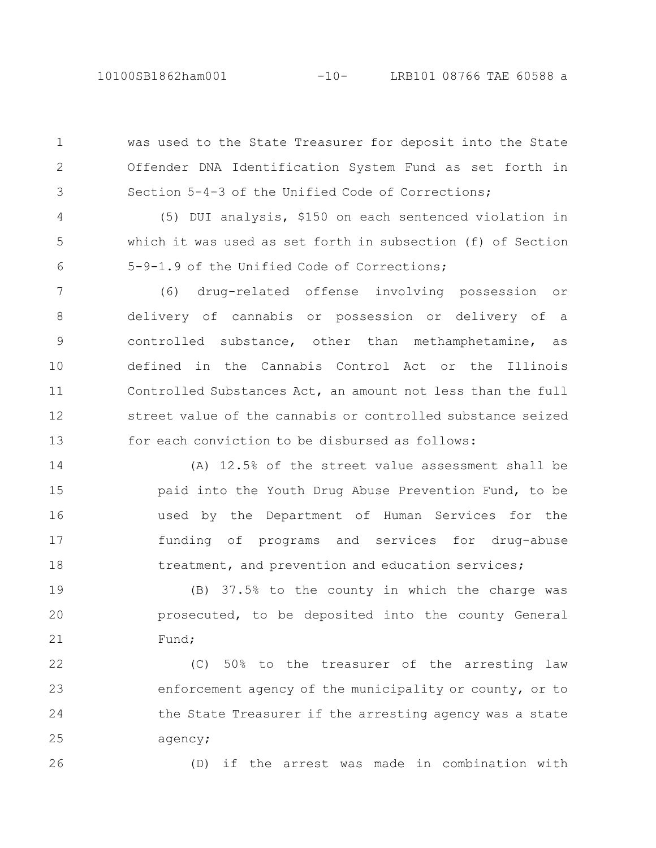was used to the State Treasurer for deposit into the State Offender DNA Identification System Fund as set forth in Section 5-4-3 of the Unified Code of Corrections; 1 2 3

(5) DUI analysis, \$150 on each sentenced violation in which it was used as set forth in subsection (f) of Section 5-9-1.9 of the Unified Code of Corrections; 4 5 6

(6) drug-related offense involving possession or delivery of cannabis or possession or delivery of a controlled substance, other than methamphetamine, as defined in the Cannabis Control Act or the Illinois Controlled Substances Act, an amount not less than the full street value of the cannabis or controlled substance seized for each conviction to be disbursed as follows: 7 8 9 10 11 12 13

(A) 12.5% of the street value assessment shall be paid into the Youth Drug Abuse Prevention Fund, to be used by the Department of Human Services for the funding of programs and services for drug-abuse treatment, and prevention and education services; 14 15 16 17 18

(B) 37.5% to the county in which the charge was prosecuted, to be deposited into the county General Fund; 19 20 21

(C) 50% to the treasurer of the arresting law enforcement agency of the municipality or county, or to the State Treasurer if the arresting agency was a state agency; 22 23 24 25

26

(D) if the arrest was made in combination with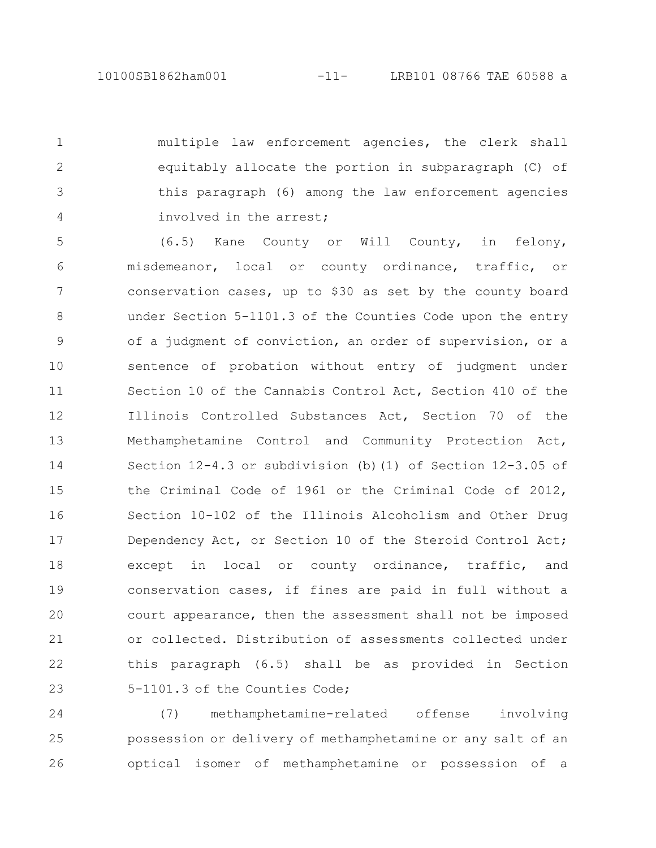multiple law enforcement agencies, the clerk shall equitably allocate the portion in subparagraph (C) of this paragraph (6) among the law enforcement agencies involved in the arrest; 1 2 3 4

(6.5) Kane County or Will County, in felony, misdemeanor, local or county ordinance, traffic, or conservation cases, up to \$30 as set by the county board under Section 5-1101.3 of the Counties Code upon the entry of a judgment of conviction, an order of supervision, or a sentence of probation without entry of judgment under Section 10 of the Cannabis Control Act, Section 410 of the Illinois Controlled Substances Act, Section 70 of the Methamphetamine Control and Community Protection Act, Section 12-4.3 or subdivision (b)(1) of Section 12-3.05 of the Criminal Code of 1961 or the Criminal Code of 2012, Section 10-102 of the Illinois Alcoholism and Other Drug Dependency Act, or Section 10 of the Steroid Control Act; except in local or county ordinance, traffic, and conservation cases, if fines are paid in full without a court appearance, then the assessment shall not be imposed or collected. Distribution of assessments collected under this paragraph (6.5) shall be as provided in Section 5-1101.3 of the Counties Code; 5 6 7 8 9 10 11 12 13 14 15 16 17 18 19 20 21 22 23

(7) methamphetamine-related offense involving possession or delivery of methamphetamine or any salt of an optical isomer of methamphetamine or possession of a 24 25 26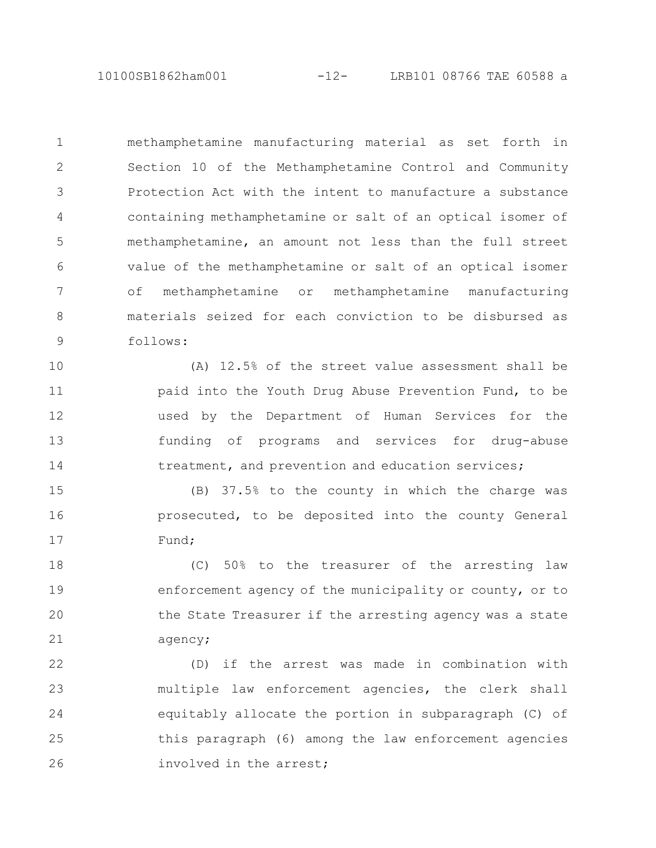10100SB1862ham001 -12- LRB101 08766 TAE 60588 a

methamphetamine manufacturing material as set forth in Section 10 of the Methamphetamine Control and Community Protection Act with the intent to manufacture a substance containing methamphetamine or salt of an optical isomer of methamphetamine, an amount not less than the full street value of the methamphetamine or salt of an optical isomer of methamphetamine or methamphetamine manufacturing materials seized for each conviction to be disbursed as follows: 1 2 3 4 5 6 7 8 9

(A) 12.5% of the street value assessment shall be paid into the Youth Drug Abuse Prevention Fund, to be used by the Department of Human Services for the funding of programs and services for drug-abuse treatment, and prevention and education services; 10 11 12 13 14

(B) 37.5% to the county in which the charge was prosecuted, to be deposited into the county General Fund; 15 16 17

(C) 50% to the treasurer of the arresting law enforcement agency of the municipality or county, or to the State Treasurer if the arresting agency was a state agency; 18 19 20 21

(D) if the arrest was made in combination with multiple law enforcement agencies, the clerk shall equitably allocate the portion in subparagraph (C) of this paragraph (6) among the law enforcement agencies involved in the arrest; 22 23 24 25 26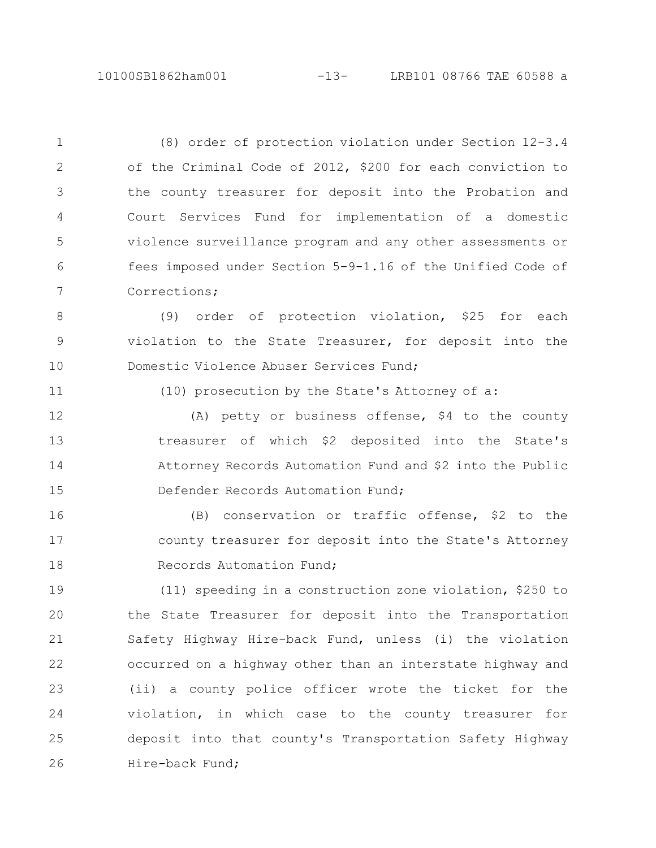(8) order of protection violation under Section 12-3.4 of the Criminal Code of 2012, \$200 for each conviction to the county treasurer for deposit into the Probation and Court Services Fund for implementation of a domestic violence surveillance program and any other assessments or fees imposed under Section 5-9-1.16 of the Unified Code of Corrections; 1 2 3 4 5 6 7

(9) order of protection violation, \$25 for each violation to the State Treasurer, for deposit into the Domestic Violence Abuser Services Fund; 8 9 10

11

(10) prosecution by the State's Attorney of a:

(A) petty or business offense, \$4 to the county treasurer of which \$2 deposited into the State's Attorney Records Automation Fund and \$2 into the Public Defender Records Automation Fund; 12 13 14 15

(B) conservation or traffic offense, \$2 to the county treasurer for deposit into the State's Attorney Records Automation Fund; 16 17 18

(11) speeding in a construction zone violation, \$250 to the State Treasurer for deposit into the Transportation Safety Highway Hire-back Fund, unless (i) the violation occurred on a highway other than an interstate highway and (ii) a county police officer wrote the ticket for the violation, in which case to the county treasurer for deposit into that county's Transportation Safety Highway Hire-back Fund; 19 20 21 22 23 24 25 26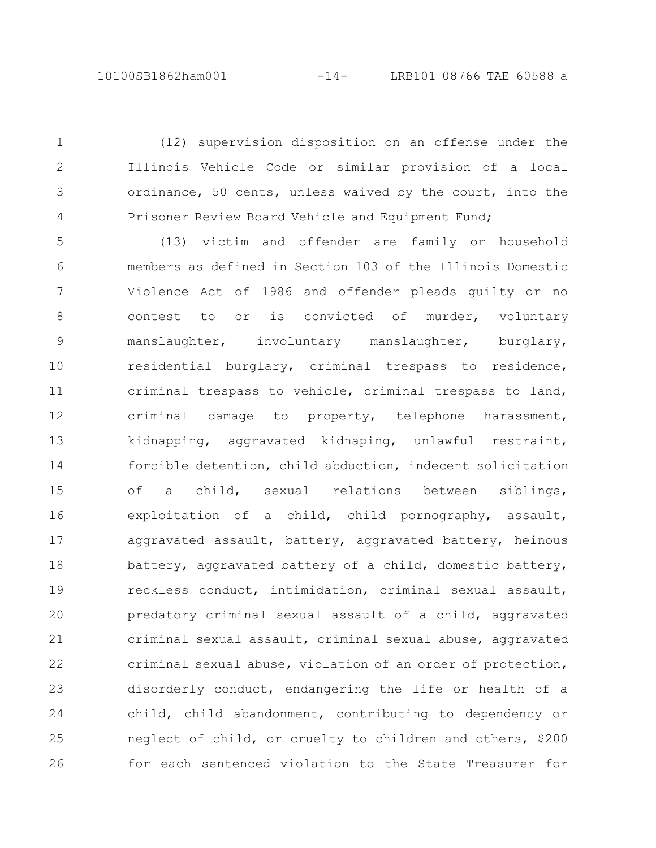(12) supervision disposition on an offense under the Illinois Vehicle Code or similar provision of a local ordinance, 50 cents, unless waived by the court, into the Prisoner Review Board Vehicle and Equipment Fund;

1

2

3

4

(13) victim and offender are family or household members as defined in Section 103 of the Illinois Domestic Violence Act of 1986 and offender pleads guilty or no contest to or is convicted of murder, voluntary manslaughter, involuntary manslaughter, burglary, residential burglary, criminal trespass to residence, criminal trespass to vehicle, criminal trespass to land, criminal damage to property, telephone harassment, kidnapping, aggravated kidnaping, unlawful restraint, forcible detention, child abduction, indecent solicitation of a child, sexual relations between siblings, exploitation of a child, child pornography, assault, aggravated assault, battery, aggravated battery, heinous battery, aggravated battery of a child, domestic battery, reckless conduct, intimidation, criminal sexual assault, predatory criminal sexual assault of a child, aggravated criminal sexual assault, criminal sexual abuse, aggravated criminal sexual abuse, violation of an order of protection, disorderly conduct, endangering the life or health of a child, child abandonment, contributing to dependency or neglect of child, or cruelty to children and others, \$200 for each sentenced violation to the State Treasurer for 5 6 7 8 9 10 11 12 13 14 15 16 17 18 19 20 21 22 23 24 25 26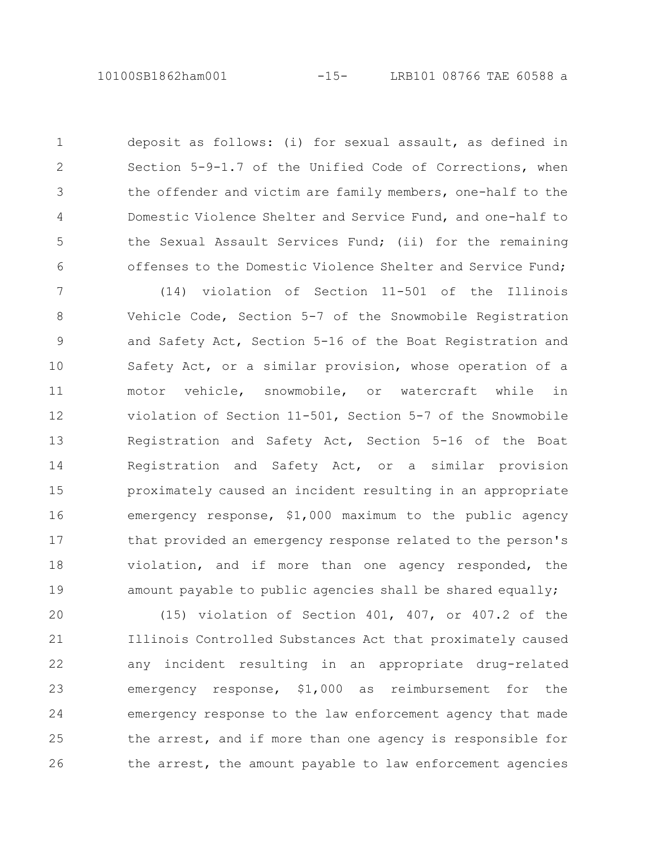deposit as follows: (i) for sexual assault, as defined in Section 5-9-1.7 of the Unified Code of Corrections, when the offender and victim are family members, one-half to the Domestic Violence Shelter and Service Fund, and one-half to the Sexual Assault Services Fund; (ii) for the remaining offenses to the Domestic Violence Shelter and Service Fund; 1 2 3 4 5 6

(14) violation of Section 11-501 of the Illinois Vehicle Code, Section 5-7 of the Snowmobile Registration and Safety Act, Section 5-16 of the Boat Registration and Safety Act, or a similar provision, whose operation of a motor vehicle, snowmobile, or watercraft while in violation of Section 11-501, Section 5-7 of the Snowmobile Registration and Safety Act, Section 5-16 of the Boat Registration and Safety Act, or a similar provision proximately caused an incident resulting in an appropriate emergency response, \$1,000 maximum to the public agency that provided an emergency response related to the person's violation, and if more than one agency responded, the amount payable to public agencies shall be shared equally; 7 8 9 10 11 12 13 14 15 16 17 18 19

(15) violation of Section 401, 407, or 407.2 of the Illinois Controlled Substances Act that proximately caused any incident resulting in an appropriate drug-related emergency response, \$1,000 as reimbursement for the emergency response to the law enforcement agency that made the arrest, and if more than one agency is responsible for the arrest, the amount payable to law enforcement agencies 20 21 22 23 24 25 26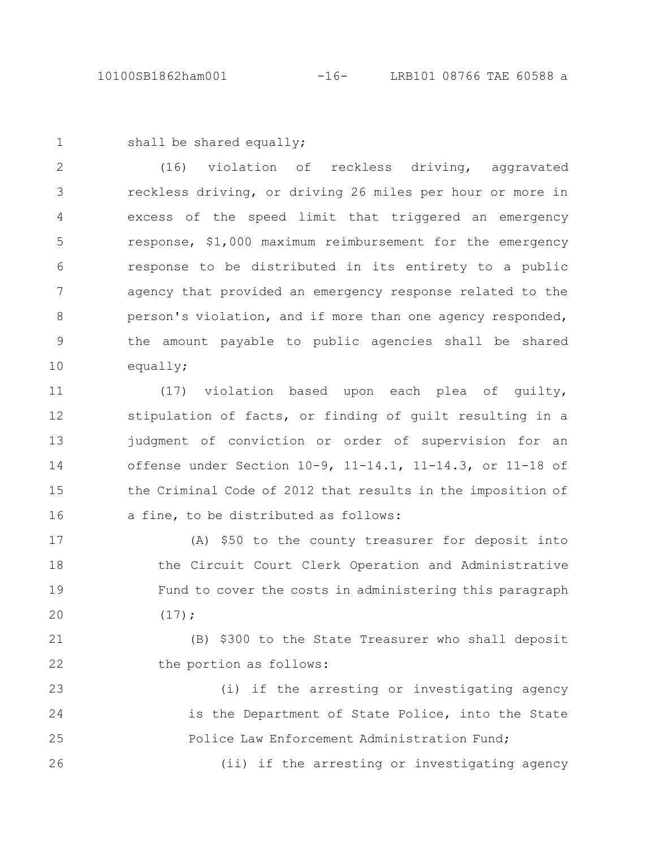1

shall be shared equally;

(16) violation of reckless driving, aggravated reckless driving, or driving 26 miles per hour or more in excess of the speed limit that triggered an emergency response, \$1,000 maximum reimbursement for the emergency response to be distributed in its entirety to a public agency that provided an emergency response related to the person's violation, and if more than one agency responded, the amount payable to public agencies shall be shared equally; 2 3 4 5 6 7 8 9 10

(17) violation based upon each plea of guilty, stipulation of facts, or finding of guilt resulting in a judgment of conviction or order of supervision for an offense under Section 10-9, 11-14.1, 11-14.3, or 11-18 of the Criminal Code of 2012 that results in the imposition of a fine, to be distributed as follows: 11 12 13 14 15 16

(A) \$50 to the county treasurer for deposit into the Circuit Court Clerk Operation and Administrative Fund to cover the costs in administering this paragraph  $(17);$ 17 18 19 20

(B) \$300 to the State Treasurer who shall deposit the portion as follows: 21 22

(i) if the arresting or investigating agency is the Department of State Police, into the State Police Law Enforcement Administration Fund; 23 24 25

(ii) if the arresting or investigating agency 26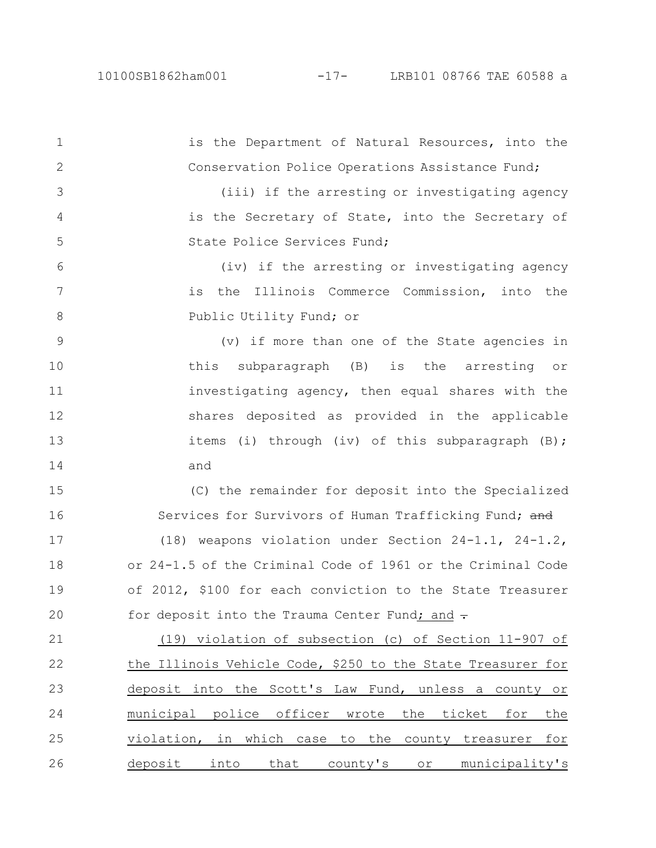is the Department of Natural Resources, into the Conservation Police Operations Assistance Fund; (iii) if the arresting or investigating agency is the Secretary of State, into the Secretary of State Police Services Fund; (iv) if the arresting or investigating agency is the Illinois Commerce Commission, into the Public Utility Fund; or (v) if more than one of the State agencies in this subparagraph (B) is the arresting or investigating agency, then equal shares with the shares deposited as provided in the applicable items (i) through (iv) of this subparagraph (B); and (C) the remainder for deposit into the Specialized Services for Survivors of Human Trafficking Fund; and (18) weapons violation under Section 24-1.1, 24-1.2, or 24-1.5 of the Criminal Code of 1961 or the Criminal Code of 2012, \$100 for each conviction to the State Treasurer for deposit into the Trauma Center Fund; and  $\div$ (19) violation of subsection (c) of Section 11-907 of the Illinois Vehicle Code, \$250 to the State Treasurer for deposit into the Scott's Law Fund, unless a county or municipal police officer wrote the ticket for the violation, in which case to the county treasurer for deposit into that county's or municipality's 1 2 3 4 5 6 7 8 9 10 11 12 13 14 15 16 17 18 19 20 21 22 23 24 25 26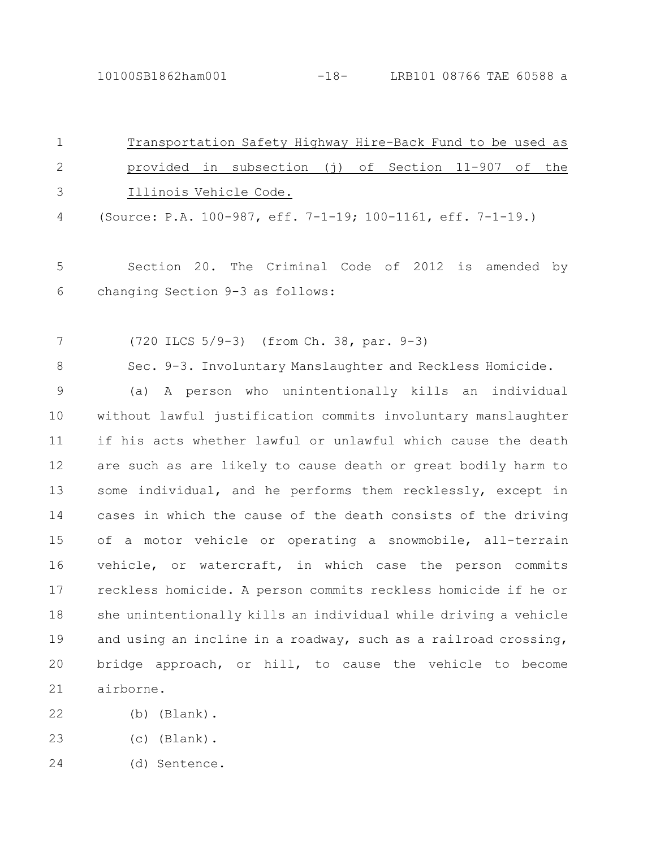10100SB1862ham001 -18- LRB101 08766 TAE 60588 a

| $\mathbf 1$    | Transportation Safety Highway Hire-Back Fund to be used as      |
|----------------|-----------------------------------------------------------------|
| $\mathbf{2}$   | provided in subsection (j) of Section 11-907 of<br>the          |
| 3              | Illinois Vehicle Code.                                          |
| 4              | (Source: P.A. 100-987, eff. 7-1-19; 100-1161, eff. 7-1-19.)     |
| 5              | Section 20. The Criminal Code of 2012 is amended by             |
| 6              | changing Section 9-3 as follows:                                |
| 7              | (720 ILCS 5/9-3) (from Ch. 38, par. 9-3)                        |
| 8              | Sec. 9-3. Involuntary Manslaughter and Reckless Homicide.       |
| $\overline{9}$ | A person who unintentionally kills an individual<br>(a)         |
| 10             | without lawful justification commits involuntary manslaughter   |
| 11             | if his acts whether lawful or unlawful which cause the death    |
| 12             | are such as are likely to cause death or great bodily harm to   |
| 13             | some individual, and he performs them recklessly, except in     |
| 14             | cases in which the cause of the death consists of the driving   |
| 15             | of a motor vehicle or operating a snowmobile, all-terrain       |
| 16             | vehicle, or watercraft, in which case the person commits        |
| 17             | reckless homicide. A person commits reckless homicide if he or  |
| 18             | she unintentionally kills an individual while driving a vehicle |
| 19             | and using an incline in a roadway, such as a railroad crossing, |
| 20             | bridge approach, or hill, to cause the vehicle to become        |
| 21             | airborne.                                                       |
| 22             | $(b)$ (Blank).                                                  |

- 
- (c) (Blank). 23
- (d) Sentence. 24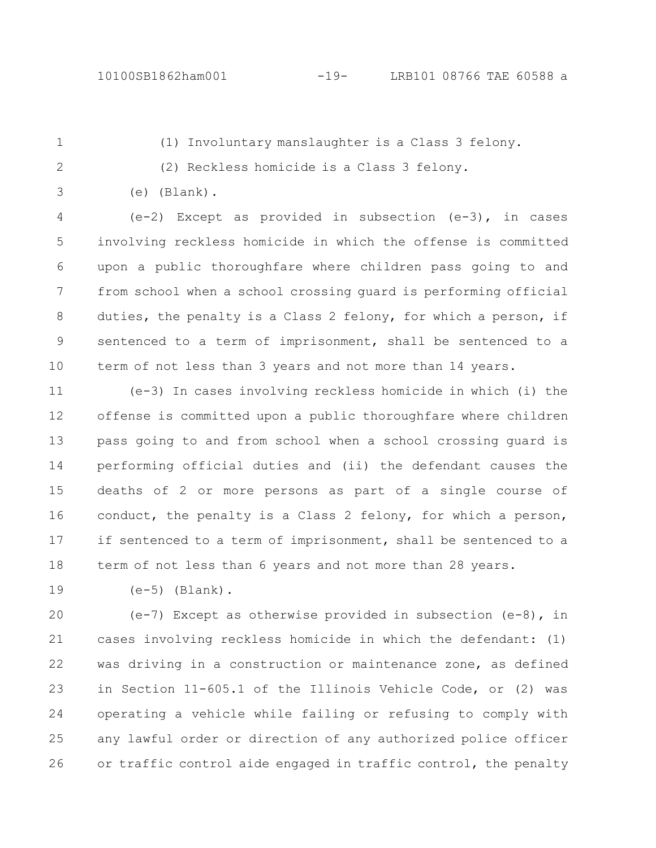(e) (Blank).

1

2

(1) Involuntary manslaughter is a Class 3 felony.

- (2) Reckless homicide is a Class 3 felony.
- 3

(e-2) Except as provided in subsection (e-3), in cases involving reckless homicide in which the offense is committed upon a public thoroughfare where children pass going to and from school when a school crossing guard is performing official duties, the penalty is a Class 2 felony, for which a person, if sentenced to a term of imprisonment, shall be sentenced to a term of not less than 3 years and not more than 14 years. 4 5 6 7 8 9 10

(e-3) In cases involving reckless homicide in which (i) the offense is committed upon a public thoroughfare where children pass going to and from school when a school crossing guard is performing official duties and (ii) the defendant causes the deaths of 2 or more persons as part of a single course of conduct, the penalty is a Class 2 felony, for which a person, if sentenced to a term of imprisonment, shall be sentenced to a term of not less than 6 years and not more than 28 years. 11 12 13 14 15 16 17 18

19

 $(e-5)$  (Blank).

 $(e-7)$  Except as otherwise provided in subsection  $(e-8)$ , in cases involving reckless homicide in which the defendant: (1) was driving in a construction or maintenance zone, as defined in Section 11-605.1 of the Illinois Vehicle Code, or (2) was operating a vehicle while failing or refusing to comply with any lawful order or direction of any authorized police officer or traffic control aide engaged in traffic control, the penalty 20 21 22 23 24 25 26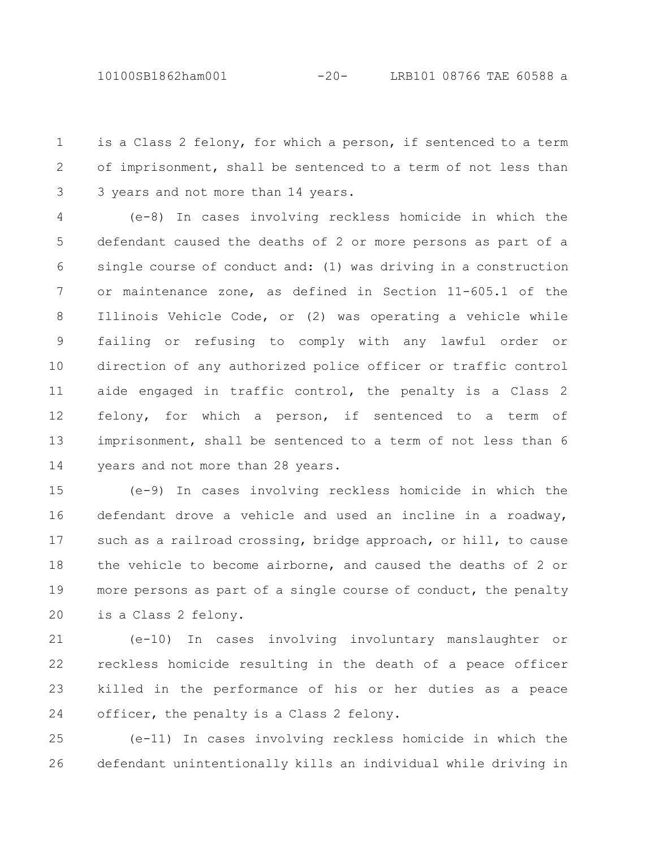10100SB1862ham001 -20- LRB101 08766 TAE 60588 a

is a Class 2 felony, for which a person, if sentenced to a term of imprisonment, shall be sentenced to a term of not less than 3 years and not more than 14 years. 1 2 3

(e-8) In cases involving reckless homicide in which the defendant caused the deaths of 2 or more persons as part of a single course of conduct and: (1) was driving in a construction or maintenance zone, as defined in Section 11-605.1 of the Illinois Vehicle Code, or (2) was operating a vehicle while failing or refusing to comply with any lawful order or direction of any authorized police officer or traffic control aide engaged in traffic control, the penalty is a Class 2 felony, for which a person, if sentenced to a term of imprisonment, shall be sentenced to a term of not less than 6 years and not more than 28 years. 4 5 6 7 8 9 10 11 12 13 14

(e-9) In cases involving reckless homicide in which the defendant drove a vehicle and used an incline in a roadway, such as a railroad crossing, bridge approach, or hill, to cause the vehicle to become airborne, and caused the deaths of 2 or more persons as part of a single course of conduct, the penalty is a Class 2 felony. 15 16 17 18 19 20

(e-10) In cases involving involuntary manslaughter or reckless homicide resulting in the death of a peace officer killed in the performance of his or her duties as a peace officer, the penalty is a Class 2 felony. 21 22 23 24

(e-11) In cases involving reckless homicide in which the defendant unintentionally kills an individual while driving in 25 26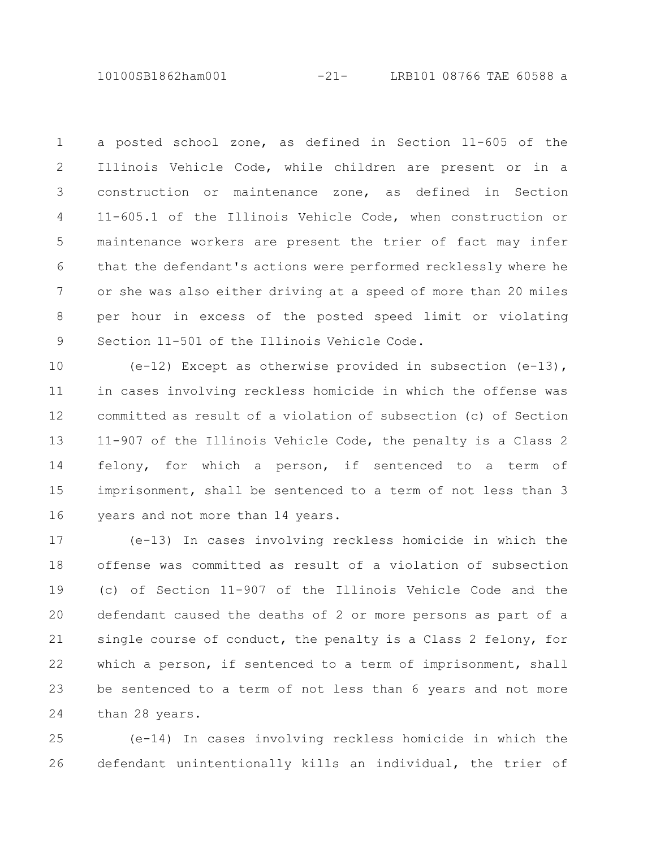10100SB1862ham001 -21- LRB101 08766 TAE 60588 a

a posted school zone, as defined in Section 11-605 of the Illinois Vehicle Code, while children are present or in a construction or maintenance zone, as defined in Section 11-605.1 of the Illinois Vehicle Code, when construction or maintenance workers are present the trier of fact may infer that the defendant's actions were performed recklessly where he or she was also either driving at a speed of more than 20 miles per hour in excess of the posted speed limit or violating Section 11-501 of the Illinois Vehicle Code. 1 2 3 4 5 6 7 8 9

 $(e-12)$  Except as otherwise provided in subsection  $(e-13)$ , in cases involving reckless homicide in which the offense was committed as result of a violation of subsection (c) of Section 11-907 of the Illinois Vehicle Code, the penalty is a Class 2 felony, for which a person, if sentenced to a term of imprisonment, shall be sentenced to a term of not less than 3 years and not more than 14 years. 10 11 12 13 14 15 16

(e-13) In cases involving reckless homicide in which the offense was committed as result of a violation of subsection (c) of Section 11-907 of the Illinois Vehicle Code and the defendant caused the deaths of 2 or more persons as part of a single course of conduct, the penalty is a Class 2 felony, for which a person, if sentenced to a term of imprisonment, shall be sentenced to a term of not less than 6 years and not more than 28 years. 17 18 19 20 21 22 23 24

(e-14) In cases involving reckless homicide in which the defendant unintentionally kills an individual, the trier of 25 26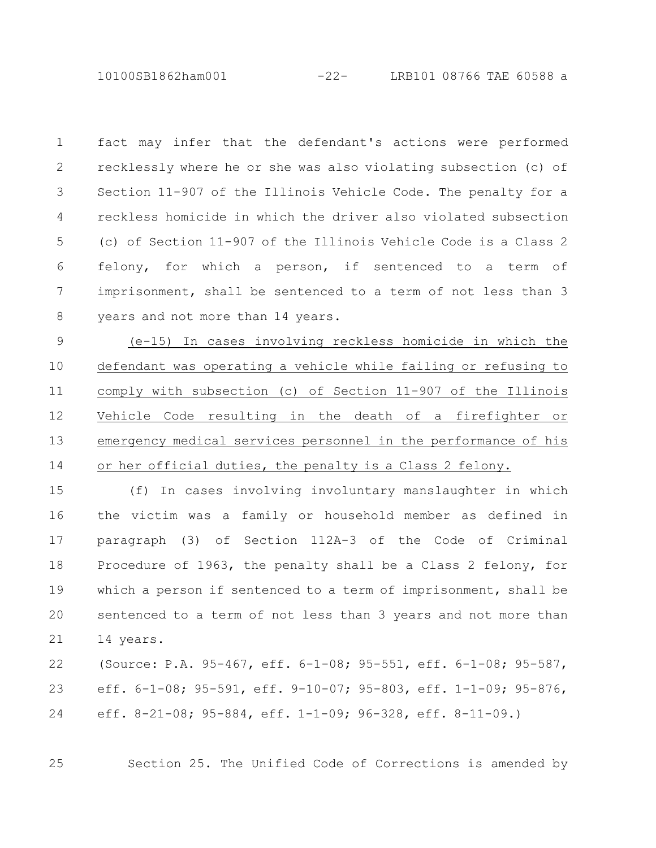10100SB1862ham001 -22- LRB101 08766 TAE 60588 a

fact may infer that the defendant's actions were performed recklessly where he or she was also violating subsection (c) of Section 11-907 of the Illinois Vehicle Code. The penalty for a reckless homicide in which the driver also violated subsection (c) of Section 11-907 of the Illinois Vehicle Code is a Class 2 felony, for which a person, if sentenced to a term of imprisonment, shall be sentenced to a term of not less than 3 years and not more than 14 years. 1 2 3 4 5 6 7 8

(e-15) In cases involving reckless homicide in which the defendant was operating a vehicle while failing or refusing to comply with subsection (c) of Section 11-907 of the Illinois Vehicle Code resulting in the death of a firefighter or emergency medical services personnel in the performance of his or her official duties, the penalty is a Class 2 felony. 9 10 11 12 13 14

(f) In cases involving involuntary manslaughter in which the victim was a family or household member as defined in paragraph (3) of Section 112A-3 of the Code of Criminal Procedure of 1963, the penalty shall be a Class 2 felony, for which a person if sentenced to a term of imprisonment, shall be sentenced to a term of not less than 3 years and not more than 14 years. 15 16 17 18 19 20 21

(Source: P.A. 95-467, eff. 6-1-08; 95-551, eff. 6-1-08; 95-587, eff. 6-1-08; 95-591, eff. 9-10-07; 95-803, eff. 1-1-09; 95-876, eff. 8-21-08; 95-884, eff. 1-1-09; 96-328, eff. 8-11-09.) 22 23 24

25

Section 25. The Unified Code of Corrections is amended by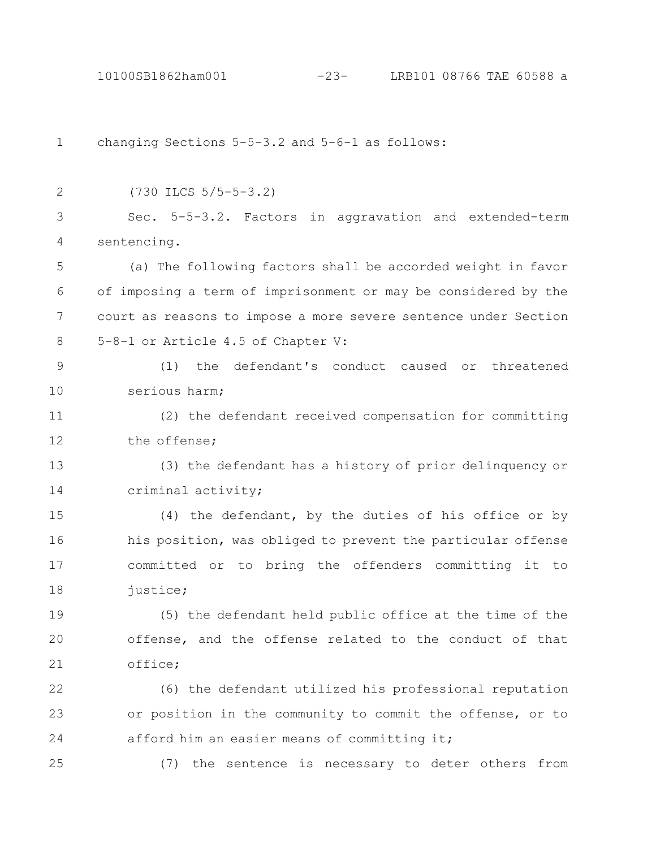changing Sections 5-5-3.2 and 5-6-1 as follows: (730 ILCS 5/5-5-3.2) Sec. 5-5-3.2. Factors in aggravation and extended-term sentencing. (a) The following factors shall be accorded weight in favor of imposing a term of imprisonment or may be considered by the court as reasons to impose a more severe sentence under Section 5-8-1 or Article 4.5 of Chapter V: (1) the defendant's conduct caused or threatened serious harm; (2) the defendant received compensation for committing the offense; (3) the defendant has a history of prior delinquency or criminal activity; (4) the defendant, by the duties of his office or by his position, was obliged to prevent the particular offense committed or to bring the offenders committing it to justice; (5) the defendant held public office at the time of the offense, and the offense related to the conduct of that office; (6) the defendant utilized his professional reputation or position in the community to commit the offense, or to afford him an easier means of committing it; (7) the sentence is necessary to deter others from 1 2 3 4 5 6 7 8 9 10 11 12 13 14 15 16 17 18 19 20 21 22 23 24 25 10100SB1862ham001 -23- LRB101 08766 TAE 60588 a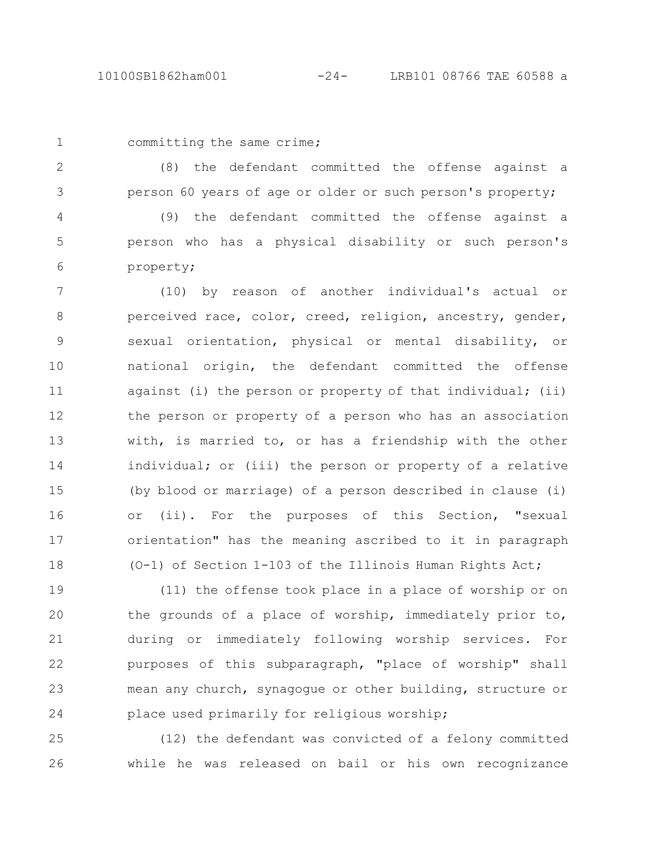1

committing the same crime;

(8) the defendant committed the offense against a person 60 years of age or older or such person's property; 2 3

(9) the defendant committed the offense against a person who has a physical disability or such person's property; 4 5 6

(10) by reason of another individual's actual or perceived race, color, creed, religion, ancestry, gender, sexual orientation, physical or mental disability, or national origin, the defendant committed the offense against (i) the person or property of that individual; (ii) the person or property of a person who has an association with, is married to, or has a friendship with the other individual; or (iii) the person or property of a relative (by blood or marriage) of a person described in clause (i) or (ii). For the purposes of this Section, "sexual orientation" has the meaning ascribed to it in paragraph (O-1) of Section 1-103 of the Illinois Human Rights Act; 7 8 9 10 11 12 13 14 15 16 17 18

(11) the offense took place in a place of worship or on the grounds of a place of worship, immediately prior to, during or immediately following worship services. For purposes of this subparagraph, "place of worship" shall mean any church, synagogue or other building, structure or place used primarily for religious worship; 19 20 21 22 23 24

(12) the defendant was convicted of a felony committed while he was released on bail or his own recognizance 25 26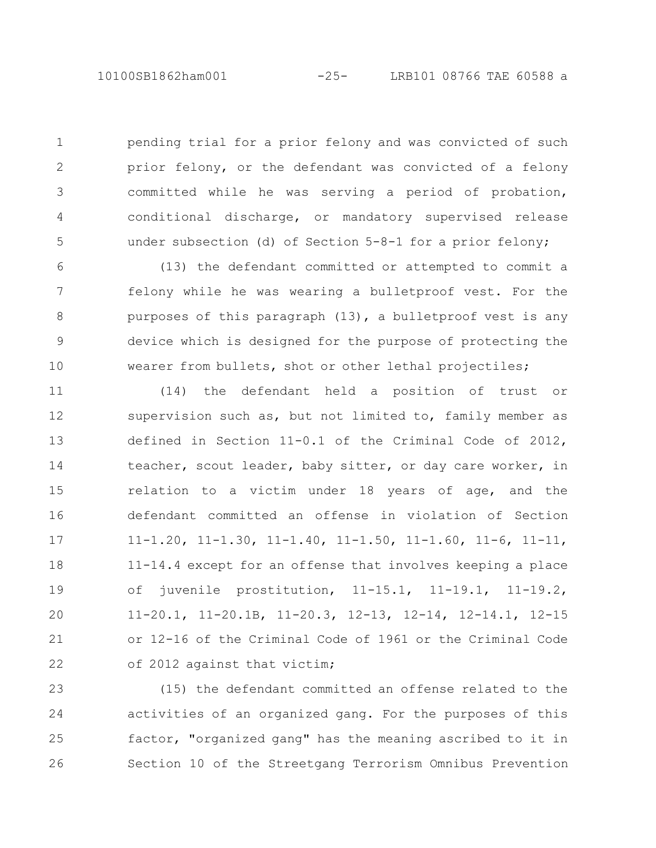pending trial for a prior felony and was convicted of such prior felony, or the defendant was convicted of a felony committed while he was serving a period of probation, conditional discharge, or mandatory supervised release under subsection (d) of Section 5-8-1 for a prior felony; 1 2 3 4 5

(13) the defendant committed or attempted to commit a felony while he was wearing a bulletproof vest. For the purposes of this paragraph (13), a bulletproof vest is any device which is designed for the purpose of protecting the wearer from bullets, shot or other lethal projectiles; 6 7 8 9 10

(14) the defendant held a position of trust or supervision such as, but not limited to, family member as defined in Section 11-0.1 of the Criminal Code of 2012, teacher, scout leader, baby sitter, or day care worker, in relation to a victim under 18 years of age, and the defendant committed an offense in violation of Section 11-1.20, 11-1.30, 11-1.40, 11-1.50, 11-1.60, 11-6, 11-11, 11-14.4 except for an offense that involves keeping a place of juvenile prostitution, 11-15.1, 11-19.1, 11-19.2, 11-20.1, 11-20.1B, 11-20.3, 12-13, 12-14, 12-14.1, 12-15 or 12-16 of the Criminal Code of 1961 or the Criminal Code of 2012 against that victim; 11 12 13 14 15 16 17 18 19 20 21 22

(15) the defendant committed an offense related to the activities of an organized gang. For the purposes of this factor, "organized gang" has the meaning ascribed to it in Section 10 of the Streetgang Terrorism Omnibus Prevention 23 24 25 26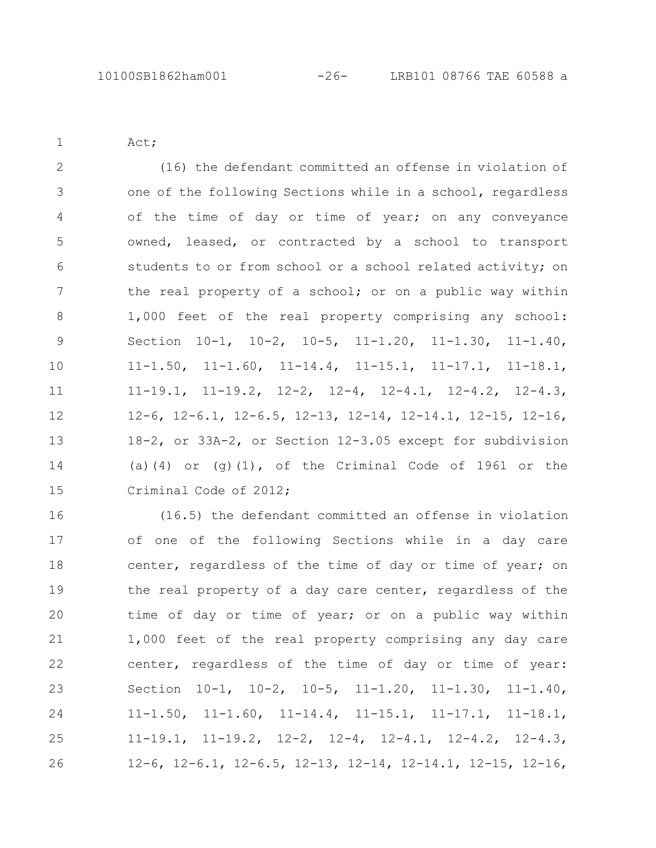Act;

1

(16) the defendant committed an offense in violation of one of the following Sections while in a school, regardless of the time of day or time of year; on any conveyance owned, leased, or contracted by a school to transport students to or from school or a school related activity; on the real property of a school; or on a public way within 1,000 feet of the real property comprising any school: Section 10-1, 10-2, 10-5, 11-1.20, 11-1.30, 11-1.40, 11-1.50, 11-1.60, 11-14.4, 11-15.1, 11-17.1, 11-18.1, 11-19.1, 11-19.2, 12-2, 12-4, 12-4.1, 12-4.2, 12-4.3, 12-6, 12-6.1, 12-6.5, 12-13, 12-14, 12-14.1, 12-15, 12-16, 18-2, or 33A-2, or Section 12-3.05 except for subdivision (a)(4) or (q)(1), of the Criminal Code of 1961 or the Criminal Code of 2012; 2 3 4 5 6 7 8 9 10 11 12 13 14 15

(16.5) the defendant committed an offense in violation of one of the following Sections while in a day care center, regardless of the time of day or time of year; on the real property of a day care center, regardless of the time of day or time of year; or on a public way within 1,000 feet of the real property comprising any day care center, regardless of the time of day or time of year: Section 10-1, 10-2, 10-5, 11-1.20, 11-1.30, 11-1.40, 11-1.50, 11-1.60, 11-14.4, 11-15.1, 11-17.1, 11-18.1, 11-19.1, 11-19.2, 12-2, 12-4, 12-4.1, 12-4.2, 12-4.3, 12-6, 12-6.1, 12-6.5, 12-13, 12-14, 12-14.1, 12-15, 12-16, 16 17 18 19 20 21 22 23 24 25 26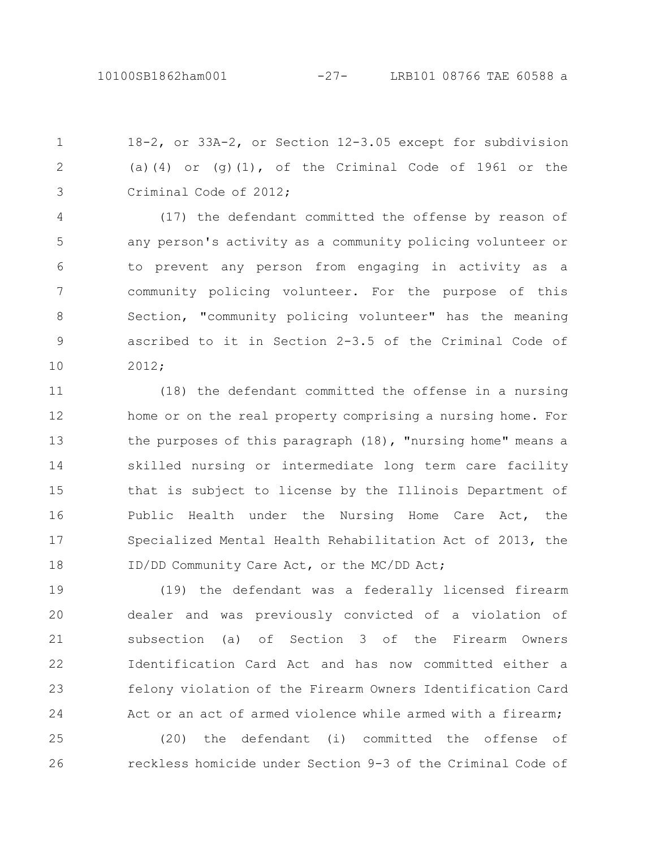18-2, or 33A-2, or Section 12-3.05 except for subdivision (a)(4) or (g)(1), of the Criminal Code of 1961 or the Criminal Code of 2012; 1 2 3

(17) the defendant committed the offense by reason of any person's activity as a community policing volunteer or to prevent any person from engaging in activity as a community policing volunteer. For the purpose of this Section, "community policing volunteer" has the meaning ascribed to it in Section 2-3.5 of the Criminal Code of 2012; 4 5 6 7 8 9 10

(18) the defendant committed the offense in a nursing home or on the real property comprising a nursing home. For the purposes of this paragraph (18), "nursing home" means a skilled nursing or intermediate long term care facility that is subject to license by the Illinois Department of Public Health under the Nursing Home Care Act, the Specialized Mental Health Rehabilitation Act of 2013, the ID/DD Community Care Act, or the MC/DD Act; 11 12 13 14 15 16 17 18

(19) the defendant was a federally licensed firearm dealer and was previously convicted of a violation of subsection (a) of Section 3 of the Firearm Owners Identification Card Act and has now committed either a felony violation of the Firearm Owners Identification Card Act or an act of armed violence while armed with a firearm; 19 20 21 22 23 24

(20) the defendant (i) committed the offense of reckless homicide under Section 9-3 of the Criminal Code of 25 26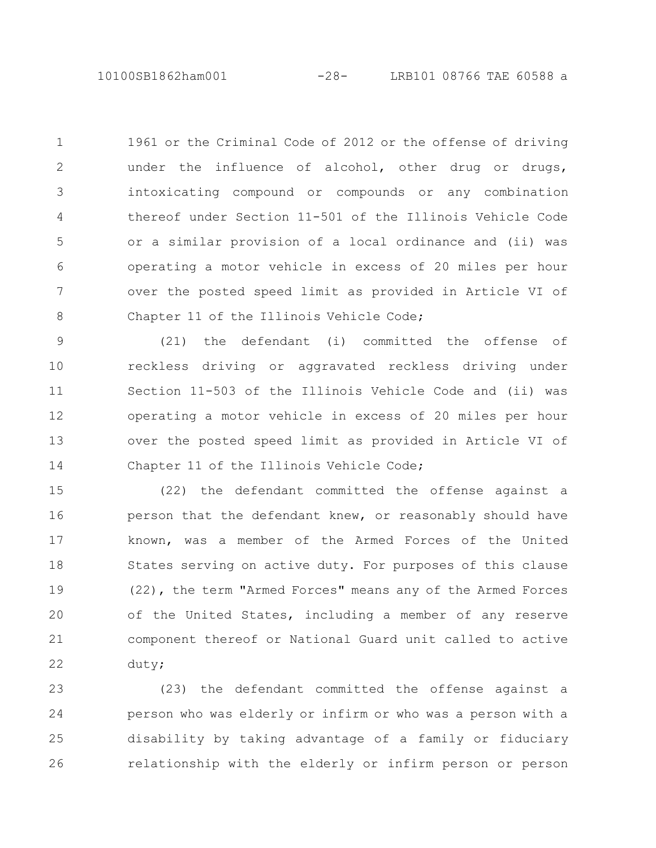1961 or the Criminal Code of 2012 or the offense of driving under the influence of alcohol, other drug or drugs, intoxicating compound or compounds or any combination thereof under Section 11-501 of the Illinois Vehicle Code or a similar provision of a local ordinance and (ii) was operating a motor vehicle in excess of 20 miles per hour over the posted speed limit as provided in Article VI of Chapter 11 of the Illinois Vehicle Code; 1 2 3 4 5 6 7 8

(21) the defendant (i) committed the offense of reckless driving or aggravated reckless driving under Section 11-503 of the Illinois Vehicle Code and (ii) was operating a motor vehicle in excess of 20 miles per hour over the posted speed limit as provided in Article VI of Chapter 11 of the Illinois Vehicle Code; 9 10 11 12 13 14

(22) the defendant committed the offense against a person that the defendant knew, or reasonably should have known, was a member of the Armed Forces of the United States serving on active duty. For purposes of this clause (22), the term "Armed Forces" means any of the Armed Forces of the United States, including a member of any reserve component thereof or National Guard unit called to active duty; 15 16 17 18 19 20 21 22

(23) the defendant committed the offense against a person who was elderly or infirm or who was a person with a disability by taking advantage of a family or fiduciary relationship with the elderly or infirm person or person 23 24 25 26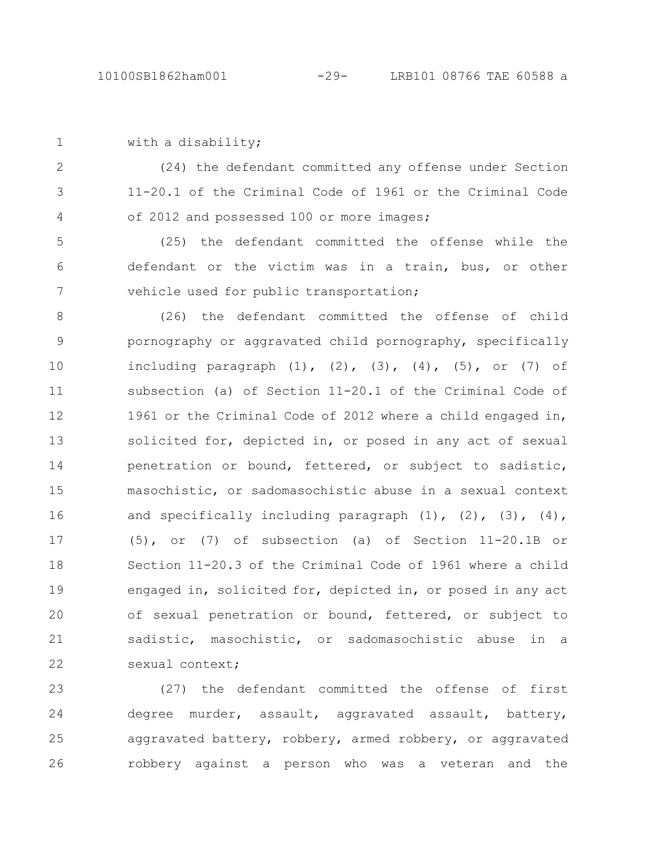|  | with a disability; |
|--|--------------------|
|  |                    |

(24) the defendant committed any offense under Section 11-20.1 of the Criminal Code of 1961 or the Criminal Code of 2012 and possessed 100 or more images; 2 3 4

(25) the defendant committed the offense while the defendant or the victim was in a train, bus, or other vehicle used for public transportation; 5 6 7

(26) the defendant committed the offense of child pornography or aggravated child pornography, specifically including paragraph  $(1)$ ,  $(2)$ ,  $(3)$ ,  $(4)$ ,  $(5)$ , or  $(7)$  of subsection (a) of Section 11-20.1 of the Criminal Code of 1961 or the Criminal Code of 2012 where a child engaged in, solicited for, depicted in, or posed in any act of sexual penetration or bound, fettered, or subject to sadistic, masochistic, or sadomasochistic abuse in a sexual context and specifically including paragraph  $(1)$ ,  $(2)$ ,  $(3)$ ,  $(4)$ , (5), or (7) of subsection (a) of Section 11-20.1B or Section 11-20.3 of the Criminal Code of 1961 where a child engaged in, solicited for, depicted in, or posed in any act of sexual penetration or bound, fettered, or subject to sadistic, masochistic, or sadomasochistic abuse in a sexual context; 8 9 10 11 12 13 14 15 16 17 18 19 20 21 22

(27) the defendant committed the offense of first degree murder, assault, aggravated assault, battery, aggravated battery, robbery, armed robbery, or aggravated robbery against a person who was a veteran and the 23 24 25 26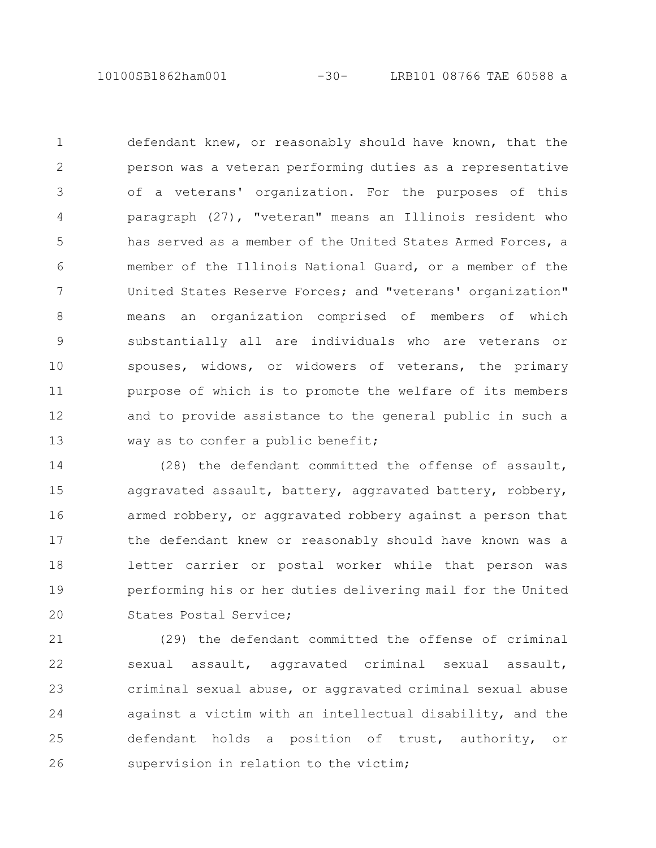10100SB1862ham001 -30- LRB101 08766 TAE 60588 a

defendant knew, or reasonably should have known, that the person was a veteran performing duties as a representative of a veterans' organization. For the purposes of this paragraph (27), "veteran" means an Illinois resident who has served as a member of the United States Armed Forces, a member of the Illinois National Guard, or a member of the United States Reserve Forces; and "veterans' organization" means an organization comprised of members of which substantially all are individuals who are veterans or spouses, widows, or widowers of veterans, the primary purpose of which is to promote the welfare of its members and to provide assistance to the general public in such a way as to confer a public benefit; 1 2 3 4 5 6 7 8 9 10 11 12 13

(28) the defendant committed the offense of assault, aggravated assault, battery, aggravated battery, robbery, armed robbery, or aggravated robbery against a person that the defendant knew or reasonably should have known was a letter carrier or postal worker while that person was performing his or her duties delivering mail for the United States Postal Service; 14 15 16 17 18 19 20

(29) the defendant committed the offense of criminal sexual assault, aggravated criminal sexual assault, criminal sexual abuse, or aggravated criminal sexual abuse against a victim with an intellectual disability, and the defendant holds a position of trust, authority, or supervision in relation to the victim; 21 22 23 24 25 26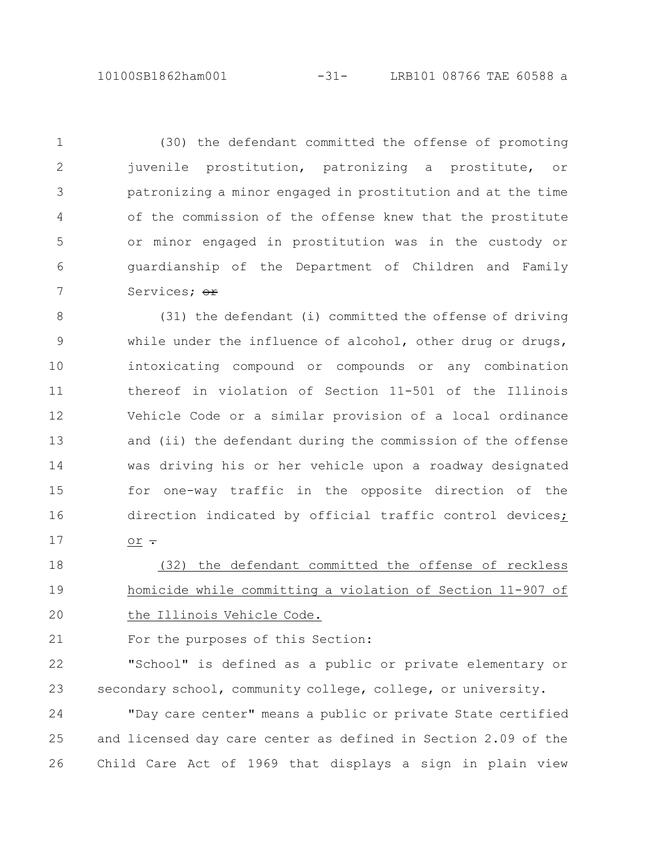(30) the defendant committed the offense of promoting juvenile prostitution, patronizing a prostitute, or patronizing a minor engaged in prostitution and at the time of the commission of the offense knew that the prostitute or minor engaged in prostitution was in the custody or guardianship of the Department of Children and Family Services: <del>or</del> 1 2 3 4 5 6 7

(31) the defendant (i) committed the offense of driving while under the influence of alcohol, other drug or drugs, intoxicating compound or compounds or any combination thereof in violation of Section 11-501 of the Illinois Vehicle Code or a similar provision of a local ordinance and (ii) the defendant during the commission of the offense was driving his or her vehicle upon a roadway designated for one-way traffic in the opposite direction of the direction indicated by official traffic control devices;  $or -$ 8 9 10 11 12 13 14 15 16 17

(32) the defendant committed the offense of reckless homicide while committing a violation of Section 11-907 of the Illinois Vehicle Code. 18 19 20

For the purposes of this Section: 21

"School" is defined as a public or private elementary or secondary school, community college, college, or university. 22 23

"Day care center" means a public or private State certified and licensed day care center as defined in Section 2.09 of the Child Care Act of 1969 that displays a sign in plain view 24 25 26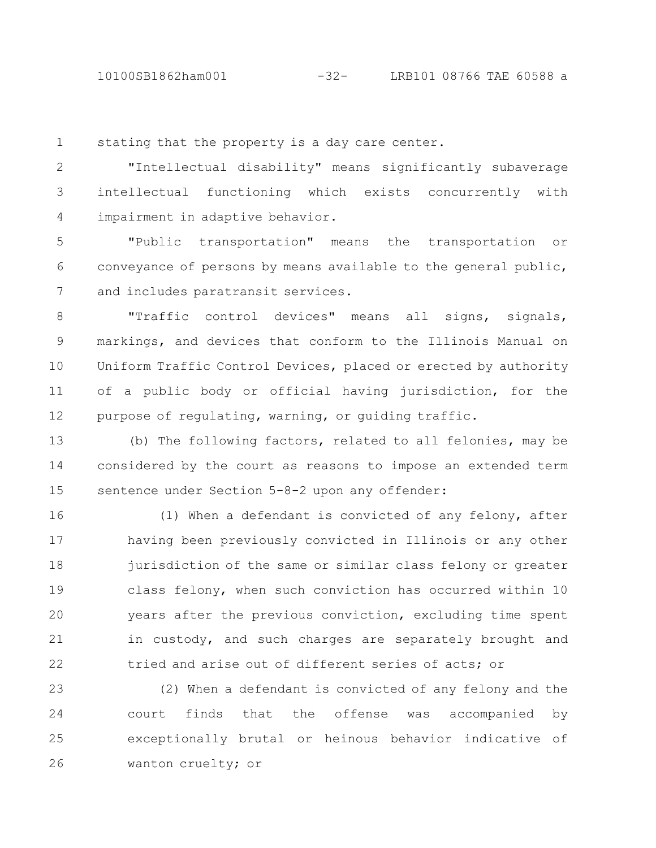stating that the property is a day care center. 1

"Intellectual disability" means significantly subaverage intellectual functioning which exists concurrently with impairment in adaptive behavior. 2 3 4

"Public transportation" means the transportation or conveyance of persons by means available to the general public, and includes paratransit services. 5 6 7

"Traffic control devices" means all signs, signals, markings, and devices that conform to the Illinois Manual on Uniform Traffic Control Devices, placed or erected by authority of a public body or official having jurisdiction, for the purpose of regulating, warning, or guiding traffic. 8 9 10 11 12

(b) The following factors, related to all felonies, may be considered by the court as reasons to impose an extended term sentence under Section 5-8-2 upon any offender: 13 14 15

(1) When a defendant is convicted of any felony, after having been previously convicted in Illinois or any other jurisdiction of the same or similar class felony or greater class felony, when such conviction has occurred within 10 years after the previous conviction, excluding time spent in custody, and such charges are separately brought and tried and arise out of different series of acts; or 16 17 18 19 20 21 22

(2) When a defendant is convicted of any felony and the court finds that the offense was accompanied by exceptionally brutal or heinous behavior indicative of wanton cruelty; or 23 24 25 26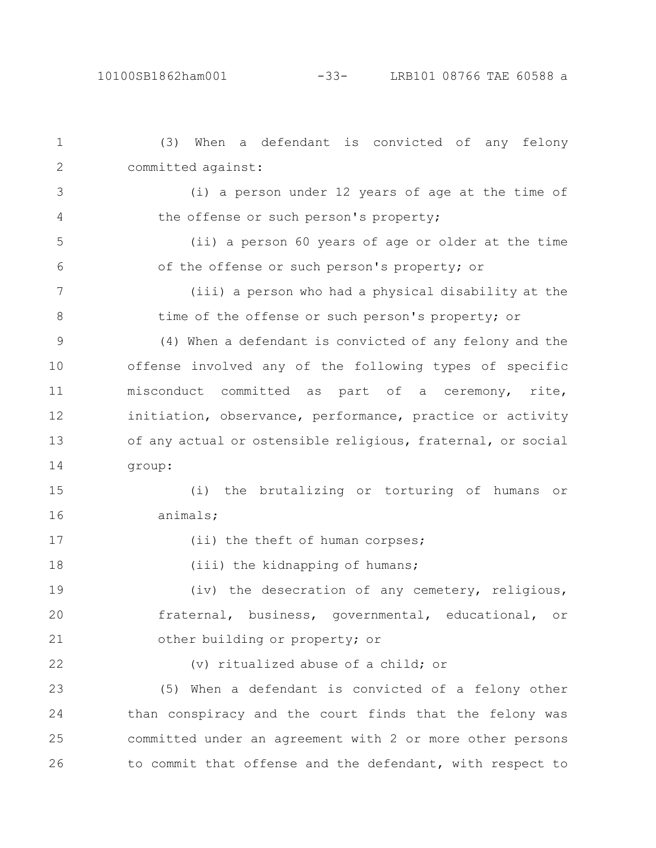(3) When a defendant is convicted of any felony committed against: (i) a person under 12 years of age at the time of the offense or such person's property; (ii) a person 60 years of age or older at the time of the offense or such person's property; or (iii) a person who had a physical disability at the time of the offense or such person's property; or (4) When a defendant is convicted of any felony and the offense involved any of the following types of specific misconduct committed as part of a ceremony, rite, initiation, observance, performance, practice or activity of any actual or ostensible religious, fraternal, or social group: (i) the brutalizing or torturing of humans or animals; (ii) the theft of human corpses; (iii) the kidnapping of humans; (iv) the desecration of any cemetery, religious, fraternal, business, governmental, educational, or other building or property; or (v) ritualized abuse of a child; or (5) When a defendant is convicted of a felony other than conspiracy and the court finds that the felony was committed under an agreement with 2 or more other persons to commit that offense and the defendant, with respect to 1 2 3 4 5 6 7 8 9 10 11 12 13 14 15 16 17 18 19 20 21 22 23 24 25 26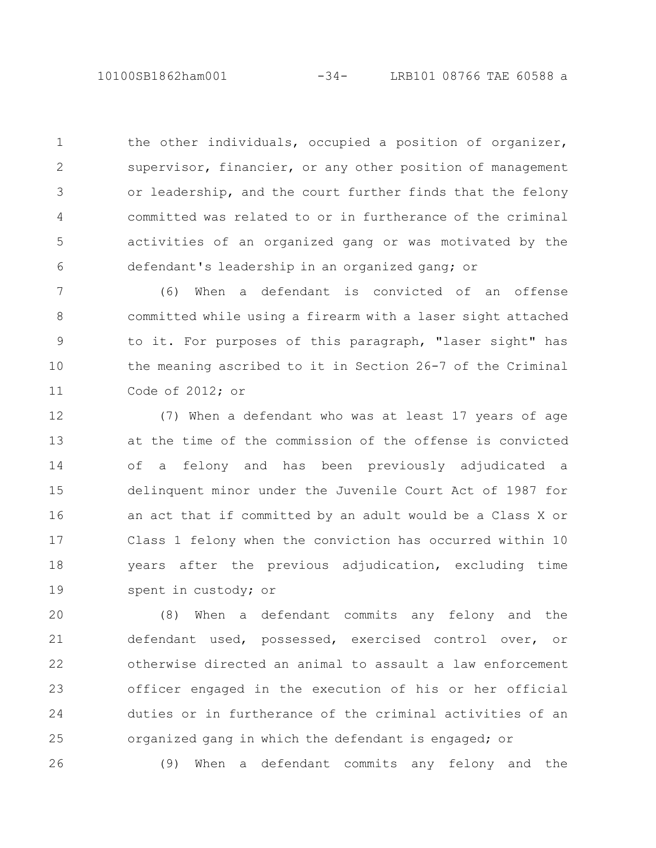10100SB1862ham001 -34- LRB101 08766 TAE 60588 a

the other individuals, occupied a position of organizer, supervisor, financier, or any other position of management or leadership, and the court further finds that the felony committed was related to or in furtherance of the criminal activities of an organized gang or was motivated by the defendant's leadership in an organized gang; or 1 2 3 4 5 6

(6) When a defendant is convicted of an offense committed while using a firearm with a laser sight attached to it. For purposes of this paragraph, "laser sight" has the meaning ascribed to it in Section 26-7 of the Criminal Code of 2012; or 7 8 9 10 11

(7) When a defendant who was at least 17 years of age at the time of the commission of the offense is convicted of a felony and has been previously adjudicated a delinquent minor under the Juvenile Court Act of 1987 for an act that if committed by an adult would be a Class X or Class 1 felony when the conviction has occurred within 10 years after the previous adjudication, excluding time spent in custody; or 12 13 14 15 16 17 18 19

(8) When a defendant commits any felony and the defendant used, possessed, exercised control over, or otherwise directed an animal to assault a law enforcement officer engaged in the execution of his or her official duties or in furtherance of the criminal activities of an organized gang in which the defendant is engaged; or 20 21 22 23 24 25

26

(9) When a defendant commits any felony and the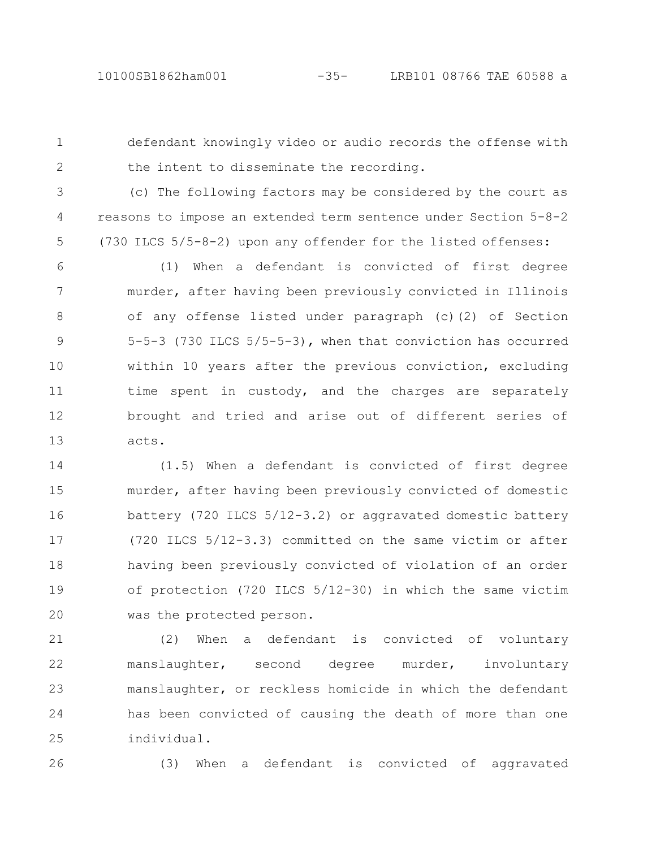1

defendant knowingly video or audio records the offense with the intent to disseminate the recording.

2

(c) The following factors may be considered by the court as reasons to impose an extended term sentence under Section 5-8-2 (730 ILCS 5/5-8-2) upon any offender for the listed offenses: 3 4 5

(1) When a defendant is convicted of first degree murder, after having been previously convicted in Illinois of any offense listed under paragraph (c)(2) of Section 5-5-3 (730 ILCS 5/5-5-3), when that conviction has occurred within 10 years after the previous conviction, excluding time spent in custody, and the charges are separately brought and tried and arise out of different series of acts. 6 7 8 9 10 11 12 13

(1.5) When a defendant is convicted of first degree murder, after having been previously convicted of domestic battery (720 ILCS 5/12-3.2) or aggravated domestic battery (720 ILCS 5/12-3.3) committed on the same victim or after having been previously convicted of violation of an order of protection (720 ILCS 5/12-30) in which the same victim was the protected person. 14 15 16 17 18 19 20

(2) When a defendant is convicted of voluntary manslaughter, second degree murder, involuntary manslaughter, or reckless homicide in which the defendant has been convicted of causing the death of more than one individual. 21 22 23 24 25

26

(3) When a defendant is convicted of aggravated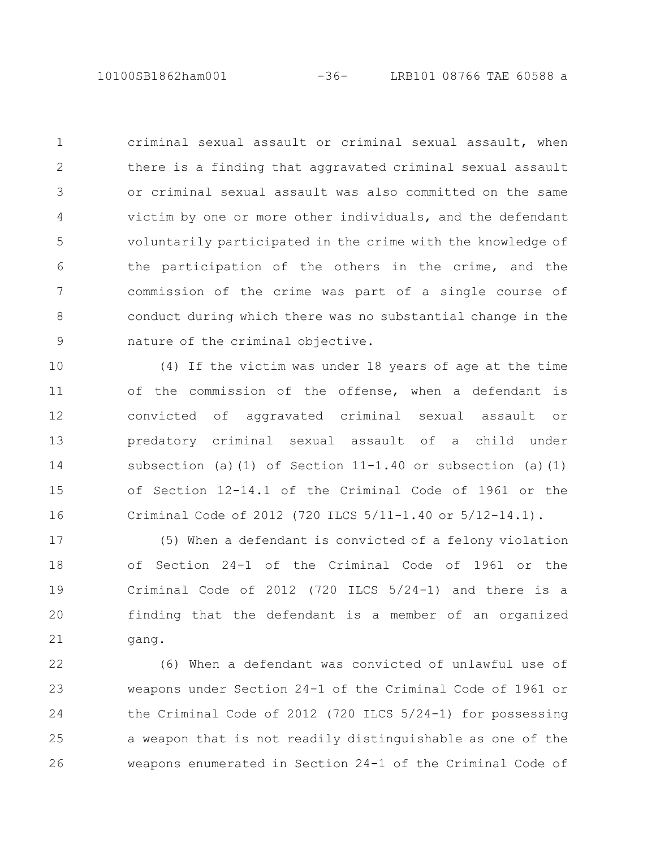criminal sexual assault or criminal sexual assault, when there is a finding that aggravated criminal sexual assault or criminal sexual assault was also committed on the same victim by one or more other individuals, and the defendant voluntarily participated in the crime with the knowledge of the participation of the others in the crime, and the commission of the crime was part of a single course of conduct during which there was no substantial change in the nature of the criminal objective. 1 2 3 4 5 6 7 8 9

(4) If the victim was under 18 years of age at the time of the commission of the offense, when a defendant is convicted of aggravated criminal sexual assault or predatory criminal sexual assault of a child under subsection (a)(1) of Section  $11-1.40$  or subsection (a)(1) of Section 12-14.1 of the Criminal Code of 1961 or the Criminal Code of 2012 (720 ILCS 5/11-1.40 or 5/12-14.1). 10 11 12 13 14 15 16

(5) When a defendant is convicted of a felony violation of Section 24-1 of the Criminal Code of 1961 or the Criminal Code of 2012 (720 ILCS 5/24-1) and there is a finding that the defendant is a member of an organized gang. 17 18 19 20 21

(6) When a defendant was convicted of unlawful use of weapons under Section 24-1 of the Criminal Code of 1961 or the Criminal Code of 2012 (720 ILCS 5/24-1) for possessing a weapon that is not readily distinguishable as one of the weapons enumerated in Section 24-1 of the Criminal Code of 22 23 24 25 26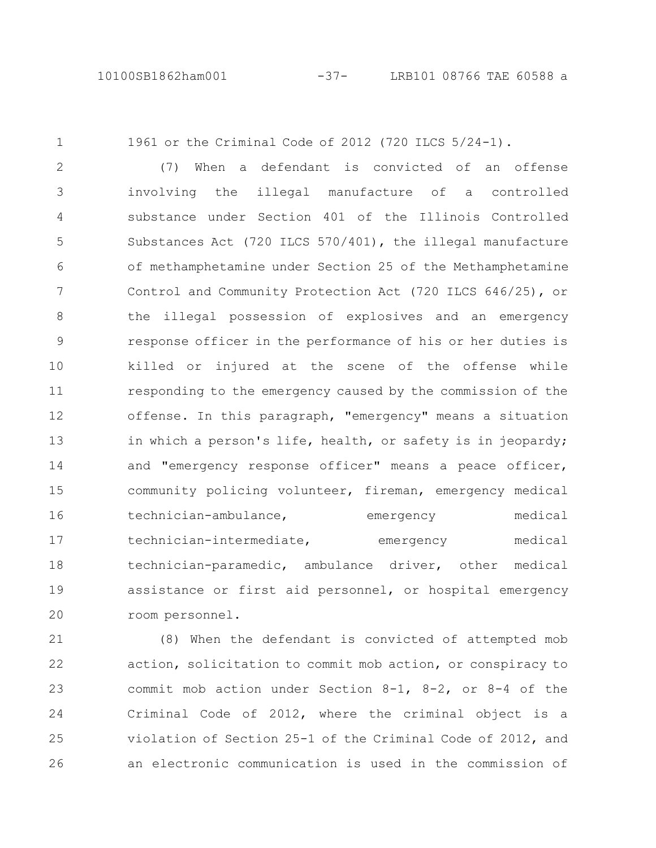1

1961 or the Criminal Code of 2012 (720 ILCS 5/24-1).

(7) When a defendant is convicted of an offense involving the illegal manufacture of a controlled substance under Section 401 of the Illinois Controlled Substances Act (720 ILCS 570/401), the illegal manufacture of methamphetamine under Section 25 of the Methamphetamine Control and Community Protection Act (720 ILCS 646/25), or the illegal possession of explosives and an emergency response officer in the performance of his or her duties is killed or injured at the scene of the offense while responding to the emergency caused by the commission of the offense. In this paragraph, "emergency" means a situation in which a person's life, health, or safety is in jeopardy; and "emergency response officer" means a peace officer, community policing volunteer, fireman, emergency medical technician-ambulance, emergency medical technician-intermediate, emergency medical technician-paramedic, ambulance driver, other medical assistance or first aid personnel, or hospital emergency room personnel. 2 3 4 5 6 7 8 9 10 11 12 13 14 15 16 17 18 19 20

(8) When the defendant is convicted of attempted mob action, solicitation to commit mob action, or conspiracy to commit mob action under Section 8-1, 8-2, or 8-4 of the Criminal Code of 2012, where the criminal object is a violation of Section 25-1 of the Criminal Code of 2012, and an electronic communication is used in the commission of 21 22 23 24 25 26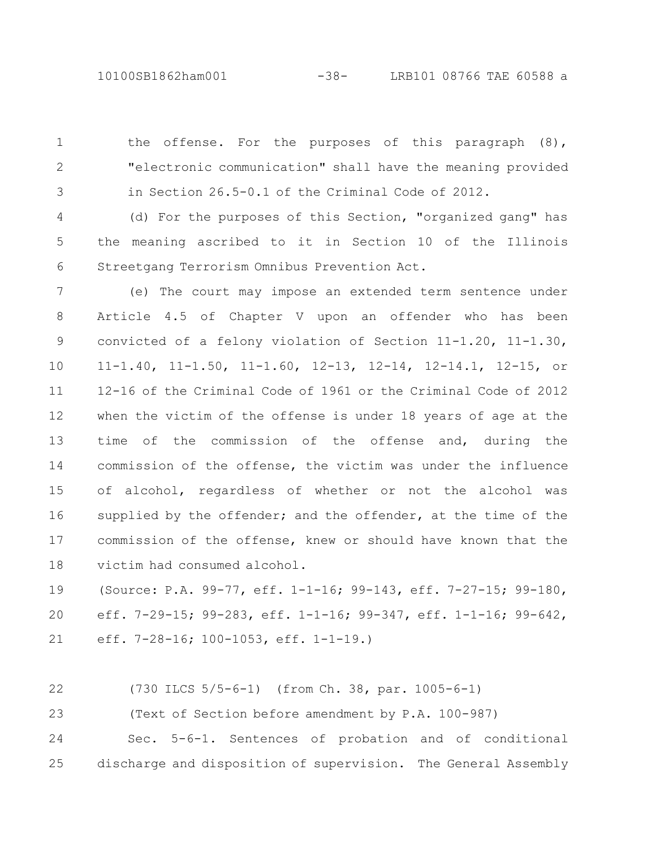the offense. For the purposes of this paragraph (8), "electronic communication" shall have the meaning provided in Section 26.5-0.1 of the Criminal Code of 2012. 1 2 3

(d) For the purposes of this Section, "organized gang" has the meaning ascribed to it in Section 10 of the Illinois Streetgang Terrorism Omnibus Prevention Act. 4 5 6

(e) The court may impose an extended term sentence under Article 4.5 of Chapter V upon an offender who has been convicted of a felony violation of Section 11-1.20, 11-1.30, 11-1.40, 11-1.50, 11-1.60, 12-13, 12-14, 12-14.1, 12-15, or 12-16 of the Criminal Code of 1961 or the Criminal Code of 2012 when the victim of the offense is under 18 years of age at the time of the commission of the offense and, during the commission of the offense, the victim was under the influence of alcohol, regardless of whether or not the alcohol was supplied by the offender; and the offender, at the time of the commission of the offense, knew or should have known that the victim had consumed alcohol. 7 8 9 10 11 12 13 14 15 16 17 18

(Source: P.A. 99-77, eff. 1-1-16; 99-143, eff. 7-27-15; 99-180, eff. 7-29-15; 99-283, eff. 1-1-16; 99-347, eff. 1-1-16; 99-642, eff. 7-28-16; 100-1053, eff. 1-1-19.) 19 20 21

(730 ILCS 5/5-6-1) (from Ch. 38, par. 1005-6-1) 22

(Text of Section before amendment by P.A. 100-987) 23

Sec. 5-6-1. Sentences of probation and of conditional discharge and disposition of supervision. The General Assembly 24 25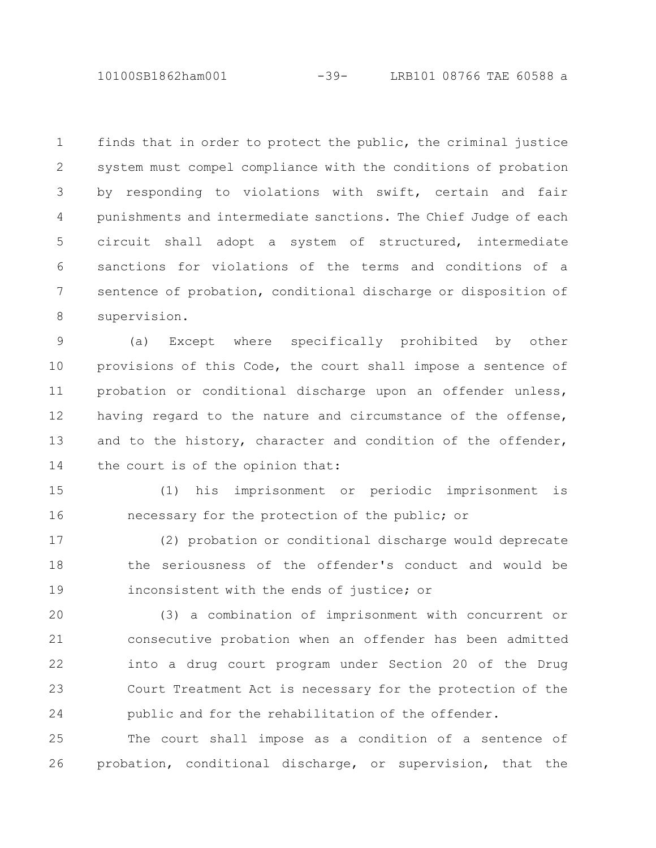10100SB1862ham001 -39- LRB101 08766 TAE 60588 a

finds that in order to protect the public, the criminal justice system must compel compliance with the conditions of probation by responding to violations with swift, certain and fair punishments and intermediate sanctions. The Chief Judge of each circuit shall adopt a system of structured, intermediate sanctions for violations of the terms and conditions of a sentence of probation, conditional discharge or disposition of supervision. 1 2 3 4 5 6 7 8

(a) Except where specifically prohibited by other provisions of this Code, the court shall impose a sentence of probation or conditional discharge upon an offender unless, having regard to the nature and circumstance of the offense, and to the history, character and condition of the offender, the court is of the opinion that: 9 10 11 12 13 14

(1) his imprisonment or periodic imprisonment is necessary for the protection of the public; or 15 16

(2) probation or conditional discharge would deprecate the seriousness of the offender's conduct and would be inconsistent with the ends of justice; or 17 18 19

(3) a combination of imprisonment with concurrent or consecutive probation when an offender has been admitted into a drug court program under Section 20 of the Drug Court Treatment Act is necessary for the protection of the public and for the rehabilitation of the offender. 20 21 22 23 24

The court shall impose as a condition of a sentence of probation, conditional discharge, or supervision, that the 25 26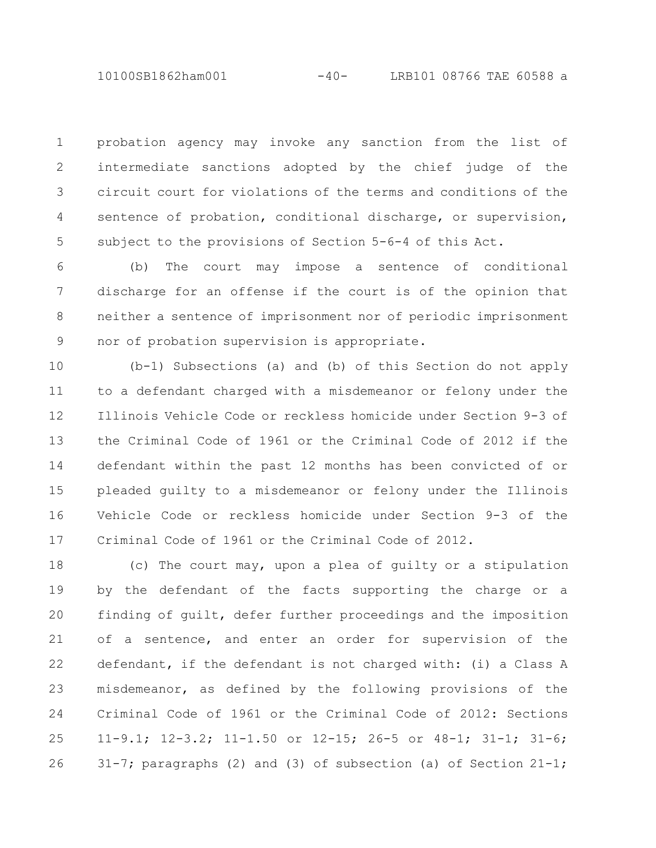10100SB1862ham001 -40- LRB101 08766 TAE 60588 a

probation agency may invoke any sanction from the list of intermediate sanctions adopted by the chief judge of the circuit court for violations of the terms and conditions of the sentence of probation, conditional discharge, or supervision, subject to the provisions of Section 5-6-4 of this Act. 1 2 3 4 5

(b) The court may impose a sentence of conditional discharge for an offense if the court is of the opinion that neither a sentence of imprisonment nor of periodic imprisonment nor of probation supervision is appropriate. 6 7 8 9

(b-1) Subsections (a) and (b) of this Section do not apply to a defendant charged with a misdemeanor or felony under the Illinois Vehicle Code or reckless homicide under Section 9-3 of the Criminal Code of 1961 or the Criminal Code of 2012 if the defendant within the past 12 months has been convicted of or pleaded guilty to a misdemeanor or felony under the Illinois Vehicle Code or reckless homicide under Section 9-3 of the Criminal Code of 1961 or the Criminal Code of 2012. 10 11 12 13 14 15 16 17

(c) The court may, upon a plea of guilty or a stipulation by the defendant of the facts supporting the charge or a finding of guilt, defer further proceedings and the imposition of a sentence, and enter an order for supervision of the defendant, if the defendant is not charged with: (i) a Class A misdemeanor, as defined by the following provisions of the Criminal Code of 1961 or the Criminal Code of 2012: Sections 11-9.1; 12-3.2; 11-1.50 or 12-15; 26-5 or 48-1; 31-1; 31-6; 31-7; paragraphs (2) and (3) of subsection (a) of Section  $21-1$ ; 18 19 20 21 22 23 24 25 26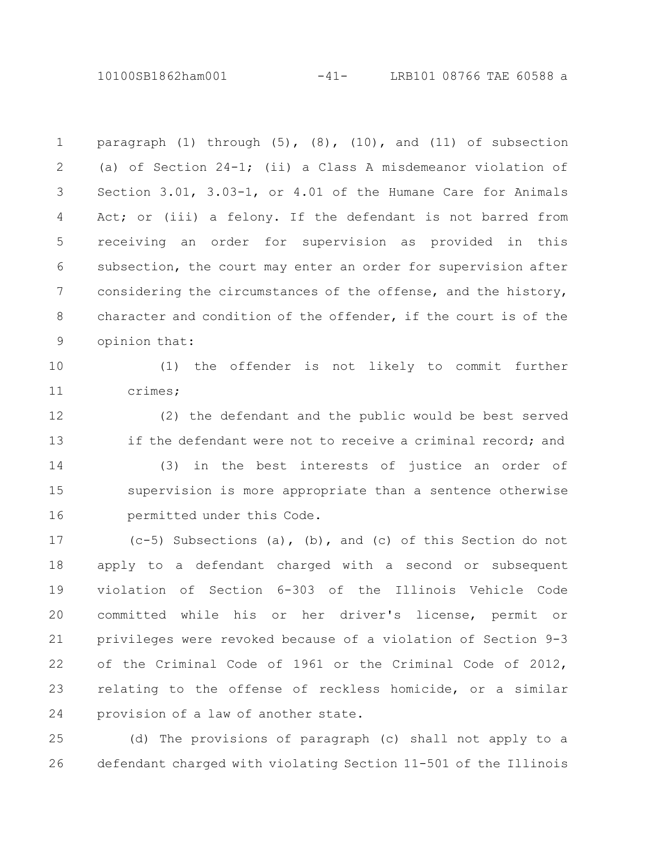10100SB1862ham001 -41- LRB101 08766 TAE 60588 a

paragraph  $(1)$  through  $(5)$ ,  $(8)$ ,  $(10)$ , and  $(11)$  of subsection (a) of Section 24-1; (ii) a Class A misdemeanor violation of Section 3.01, 3.03-1, or 4.01 of the Humane Care for Animals Act; or (iii) a felony. If the defendant is not barred from receiving an order for supervision as provided in this subsection, the court may enter an order for supervision after considering the circumstances of the offense, and the history, character and condition of the offender, if the court is of the opinion that: 1 2 3 4 5 6 7 8 9

10

11

(1) the offender is not likely to commit further crimes;

(2) the defendant and the public would be best served if the defendant were not to receive a criminal record; and 12 13

(3) in the best interests of justice an order of supervision is more appropriate than a sentence otherwise permitted under this Code. 14 15 16

(c-5) Subsections (a), (b), and (c) of this Section do not apply to a defendant charged with a second or subsequent violation of Section 6-303 of the Illinois Vehicle Code committed while his or her driver's license, permit or privileges were revoked because of a violation of Section 9-3 of the Criminal Code of 1961 or the Criminal Code of 2012, relating to the offense of reckless homicide, or a similar provision of a law of another state. 17 18 19 20 21 22 23 24

(d) The provisions of paragraph (c) shall not apply to a defendant charged with violating Section 11-501 of the Illinois 25 26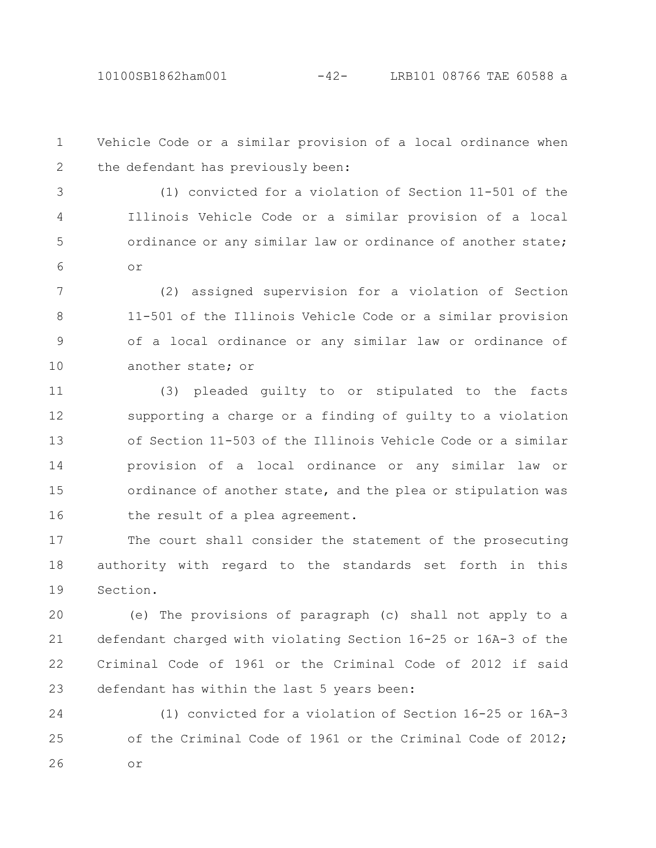Vehicle Code or a similar provision of a local ordinance when the defendant has previously been: 1 2

(1) convicted for a violation of Section 11-501 of the Illinois Vehicle Code or a similar provision of a local ordinance or any similar law or ordinance of another state; or 3 4 5 6

(2) assigned supervision for a violation of Section 11-501 of the Illinois Vehicle Code or a similar provision of a local ordinance or any similar law or ordinance of another state; or 7 8 9 10

(3) pleaded guilty to or stipulated to the facts supporting a charge or a finding of guilty to a violation of Section 11-503 of the Illinois Vehicle Code or a similar provision of a local ordinance or any similar law or ordinance of another state, and the plea or stipulation was the result of a plea agreement. 11 12 13 14 15 16

The court shall consider the statement of the prosecuting authority with regard to the standards set forth in this Section. 17 18 19

(e) The provisions of paragraph (c) shall not apply to a defendant charged with violating Section 16-25 or 16A-3 of the Criminal Code of 1961 or the Criminal Code of 2012 if said defendant has within the last 5 years been: 20 21 22 23

(1) convicted for a violation of Section 16-25 or 16A-3 of the Criminal Code of 1961 or the Criminal Code of 2012; or 24 25 26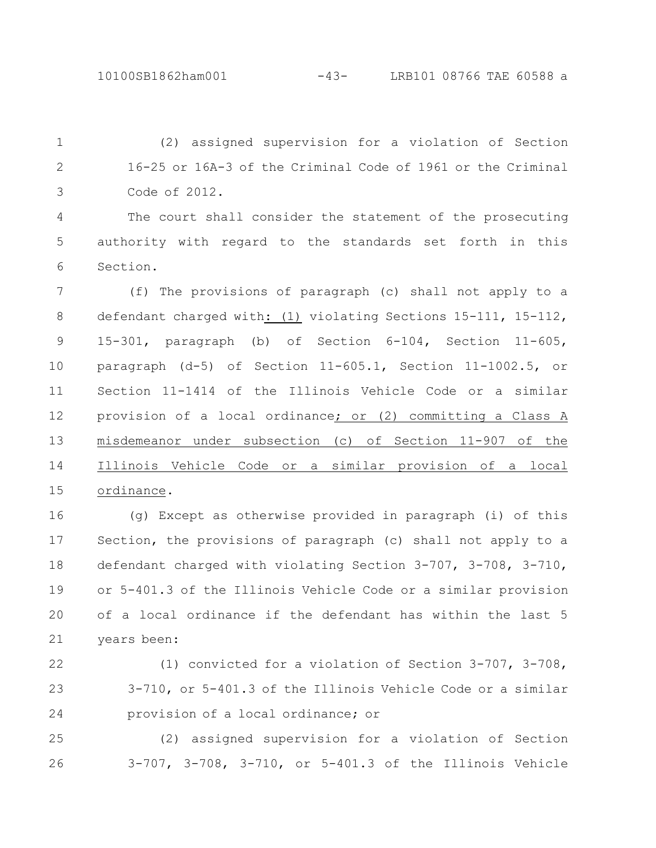(2) assigned supervision for a violation of Section 16-25 or 16A-3 of the Criminal Code of 1961 or the Criminal Code of 2012. 1 2 3

The court shall consider the statement of the prosecuting authority with regard to the standards set forth in this Section. 4 5 6

(f) The provisions of paragraph (c) shall not apply to a defendant charged with: (1) violating Sections 15-111, 15-112, 15-301, paragraph (b) of Section 6-104, Section 11-605, paragraph (d-5) of Section 11-605.1, Section 11-1002.5, or Section 11-1414 of the Illinois Vehicle Code or a similar provision of a local ordinance; or (2) committing a Class A misdemeanor under subsection (c) of Section 11-907 of the Illinois Vehicle Code or a similar provision of a local ordinance. 7 8 9 10 11 12 13 14 15

(g) Except as otherwise provided in paragraph (i) of this Section, the provisions of paragraph (c) shall not apply to a defendant charged with violating Section 3-707, 3-708, 3-710, or 5-401.3 of the Illinois Vehicle Code or a similar provision of a local ordinance if the defendant has within the last 5 years been: 16 17 18 19 20 21

22

23 24

(1) convicted for a violation of Section 3-707, 3-708, 3-710, or 5-401.3 of the Illinois Vehicle Code or a similar provision of a local ordinance; or

(2) assigned supervision for a violation of Section 3-707, 3-708, 3-710, or 5-401.3 of the Illinois Vehicle 25 26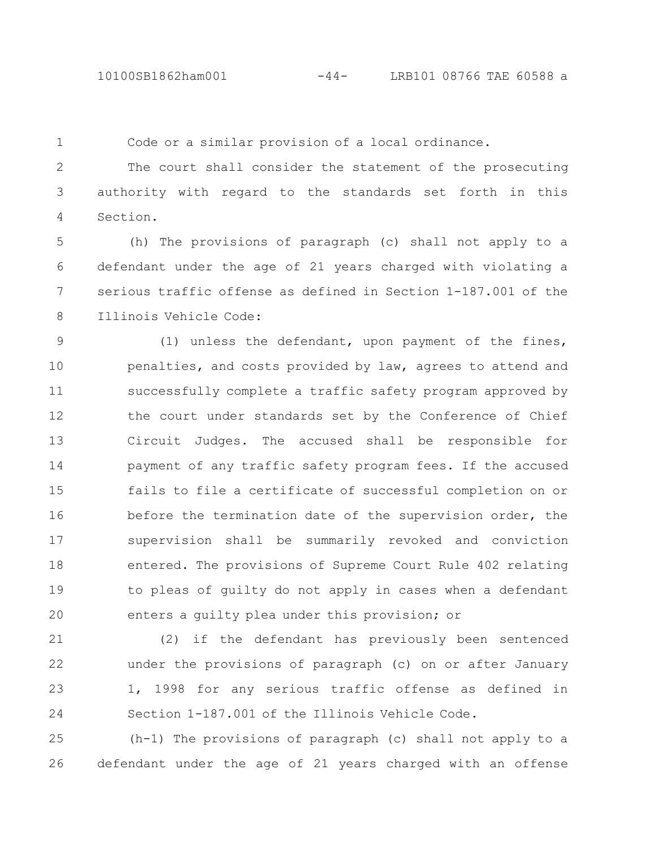1

Code or a similar provision of a local ordinance.

The court shall consider the statement of the prosecuting authority with regard to the standards set forth in this Section. 2 3 4

(h) The provisions of paragraph (c) shall not apply to a defendant under the age of 21 years charged with violating a serious traffic offense as defined in Section 1-187.001 of the Illinois Vehicle Code: 5 6 7 8

(1) unless the defendant, upon payment of the fines, penalties, and costs provided by law, agrees to attend and successfully complete a traffic safety program approved by the court under standards set by the Conference of Chief Circuit Judges. The accused shall be responsible for payment of any traffic safety program fees. If the accused fails to file a certificate of successful completion on or before the termination date of the supervision order, the supervision shall be summarily revoked and conviction entered. The provisions of Supreme Court Rule 402 relating to pleas of guilty do not apply in cases when a defendant enters a guilty plea under this provision; or 9 10 11 12 13 14 15 16 17 18 19 20

(2) if the defendant has previously been sentenced under the provisions of paragraph (c) on or after January 1, 1998 for any serious traffic offense as defined in Section 1-187.001 of the Illinois Vehicle Code. 21 22 23 24

(h-1) The provisions of paragraph (c) shall not apply to a defendant under the age of 21 years charged with an offense 25 26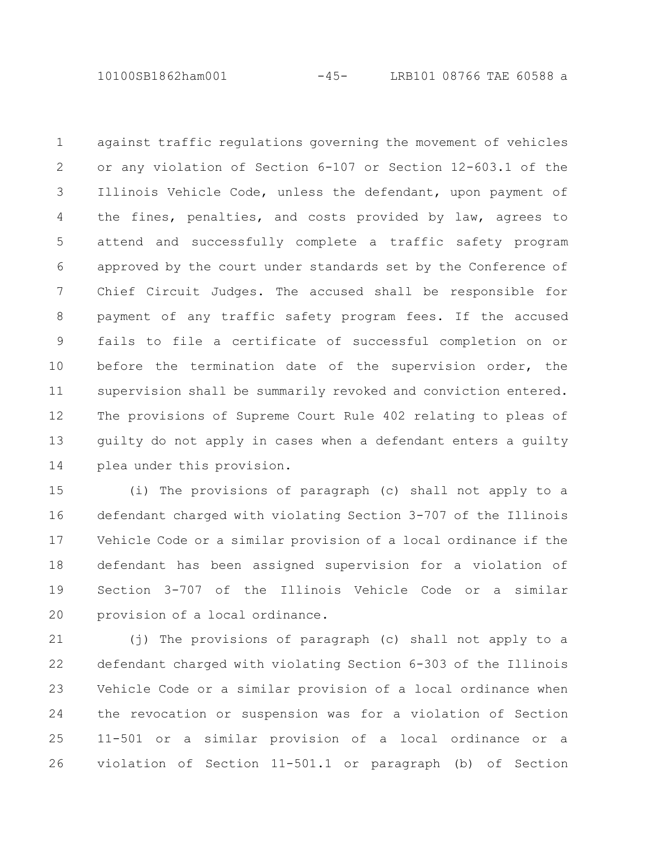10100SB1862ham001 -45- LRB101 08766 TAE 60588 a

against traffic regulations governing the movement of vehicles or any violation of Section 6-107 or Section 12-603.1 of the Illinois Vehicle Code, unless the defendant, upon payment of the fines, penalties, and costs provided by law, agrees to attend and successfully complete a traffic safety program approved by the court under standards set by the Conference of Chief Circuit Judges. The accused shall be responsible for payment of any traffic safety program fees. If the accused fails to file a certificate of successful completion on or before the termination date of the supervision order, the supervision shall be summarily revoked and conviction entered. The provisions of Supreme Court Rule 402 relating to pleas of guilty do not apply in cases when a defendant enters a guilty plea under this provision. 1 2 3 4 5 6 7 8 9 10 11 12 13 14

(i) The provisions of paragraph (c) shall not apply to a defendant charged with violating Section 3-707 of the Illinois Vehicle Code or a similar provision of a local ordinance if the defendant has been assigned supervision for a violation of Section 3-707 of the Illinois Vehicle Code or a similar provision of a local ordinance. 15 16 17 18 19 20

(j) The provisions of paragraph (c) shall not apply to a defendant charged with violating Section 6-303 of the Illinois Vehicle Code or a similar provision of a local ordinance when the revocation or suspension was for a violation of Section 11-501 or a similar provision of a local ordinance or a violation of Section 11-501.1 or paragraph (b) of Section 21 22 23 24 25 26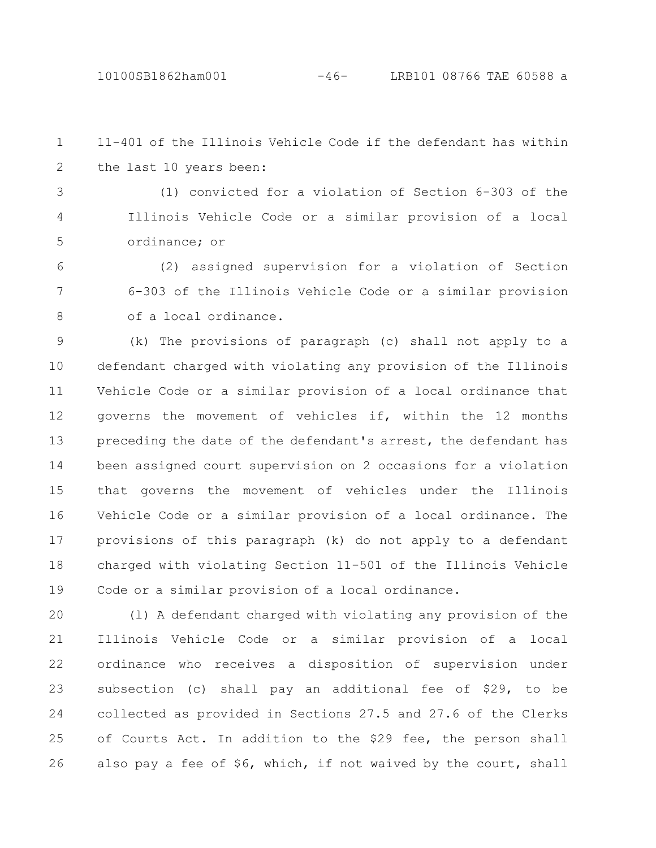11-401 of the Illinois Vehicle Code if the defendant has within the last 10 years been: 1 2

(1) convicted for a violation of Section 6-303 of the Illinois Vehicle Code or a similar provision of a local ordinance; or 3 4 5

(2) assigned supervision for a violation of Section 6-303 of the Illinois Vehicle Code or a similar provision of a local ordinance. 6 7 8

(k) The provisions of paragraph (c) shall not apply to a defendant charged with violating any provision of the Illinois Vehicle Code or a similar provision of a local ordinance that governs the movement of vehicles if, within the 12 months preceding the date of the defendant's arrest, the defendant has been assigned court supervision on 2 occasions for a violation that governs the movement of vehicles under the Illinois Vehicle Code or a similar provision of a local ordinance. The provisions of this paragraph (k) do not apply to a defendant charged with violating Section 11-501 of the Illinois Vehicle Code or a similar provision of a local ordinance. 9 10 11 12 13 14 15 16 17 18 19

(l) A defendant charged with violating any provision of the Illinois Vehicle Code or a similar provision of a local ordinance who receives a disposition of supervision under subsection (c) shall pay an additional fee of \$29, to be collected as provided in Sections 27.5 and 27.6 of the Clerks of Courts Act. In addition to the \$29 fee, the person shall also pay a fee of \$6, which, if not waived by the court, shall 20 21 22 23 24 25 26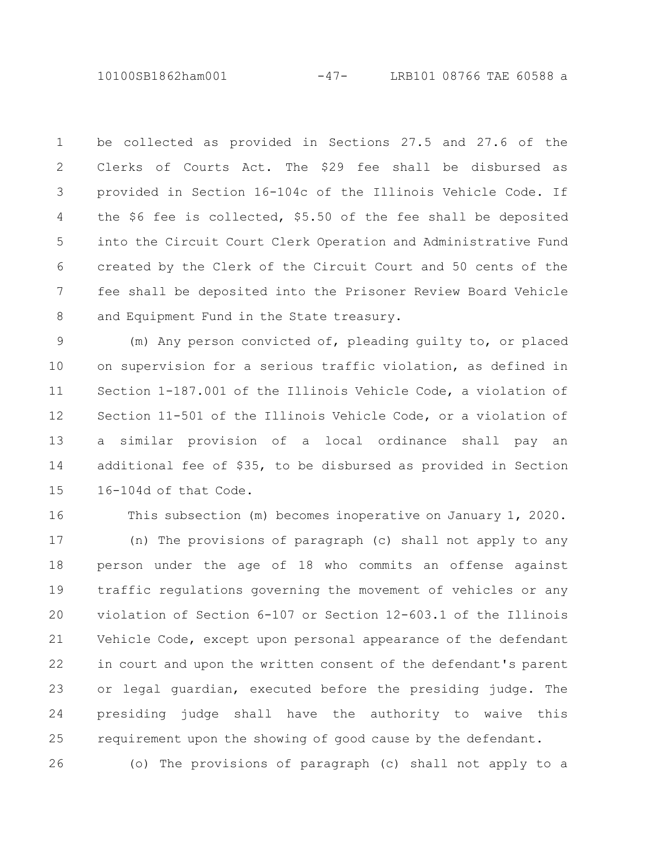10100SB1862ham001 -47- LRB101 08766 TAE 60588 a

be collected as provided in Sections 27.5 and 27.6 of the Clerks of Courts Act. The \$29 fee shall be disbursed as provided in Section 16-104c of the Illinois Vehicle Code. If the \$6 fee is collected, \$5.50 of the fee shall be deposited into the Circuit Court Clerk Operation and Administrative Fund created by the Clerk of the Circuit Court and 50 cents of the fee shall be deposited into the Prisoner Review Board Vehicle and Equipment Fund in the State treasury. 1 2 3 4 5 6 7 8

(m) Any person convicted of, pleading guilty to, or placed on supervision for a serious traffic violation, as defined in Section 1-187.001 of the Illinois Vehicle Code, a violation of Section 11-501 of the Illinois Vehicle Code, or a violation of a similar provision of a local ordinance shall pay an additional fee of \$35, to be disbursed as provided in Section 16-104d of that Code. 9 10 11 12 13 14 15

This subsection (m) becomes inoperative on January 1, 2020. (n) The provisions of paragraph (c) shall not apply to any person under the age of 18 who commits an offense against traffic regulations governing the movement of vehicles or any violation of Section 6-107 or Section 12-603.1 of the Illinois Vehicle Code, except upon personal appearance of the defendant in court and upon the written consent of the defendant's parent or legal guardian, executed before the presiding judge. The presiding judge shall have the authority to waive this requirement upon the showing of good cause by the defendant. 16 17 18 19 20 21 22 23 24 25

(o) The provisions of paragraph (c) shall not apply to a 26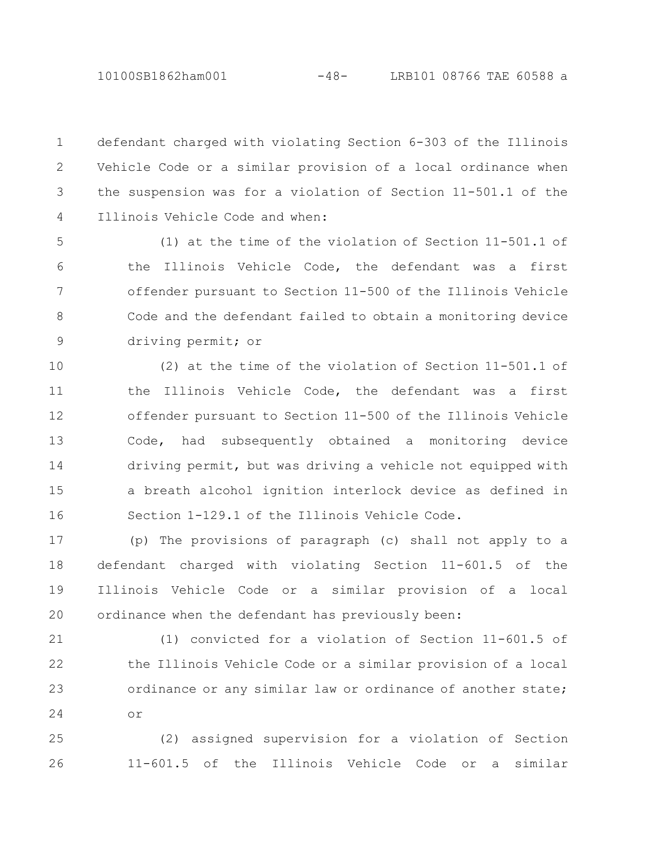10100SB1862ham001 -48- LRB101 08766 TAE 60588 a

defendant charged with violating Section 6-303 of the Illinois Vehicle Code or a similar provision of a local ordinance when the suspension was for a violation of Section 11-501.1 of the Illinois Vehicle Code and when: 1 2 3 4

(1) at the time of the violation of Section 11-501.1 of the Illinois Vehicle Code, the defendant was a first offender pursuant to Section 11-500 of the Illinois Vehicle Code and the defendant failed to obtain a monitoring device driving permit; or 5 6 7 8 9

(2) at the time of the violation of Section 11-501.1 of the Illinois Vehicle Code, the defendant was a first offender pursuant to Section 11-500 of the Illinois Vehicle Code, had subsequently obtained a monitoring device driving permit, but was driving a vehicle not equipped with a breath alcohol ignition interlock device as defined in Section 1-129.1 of the Illinois Vehicle Code. 10 11 12 13 14 15 16

(p) The provisions of paragraph (c) shall not apply to a defendant charged with violating Section 11-601.5 of the Illinois Vehicle Code or a similar provision of a local ordinance when the defendant has previously been: 17 18 19 20

(1) convicted for a violation of Section 11-601.5 of the Illinois Vehicle Code or a similar provision of a local ordinance or any similar law or ordinance of another state; or 21 22 23 24

(2) assigned supervision for a violation of Section 11-601.5 of the Illinois Vehicle Code or a similar 25 26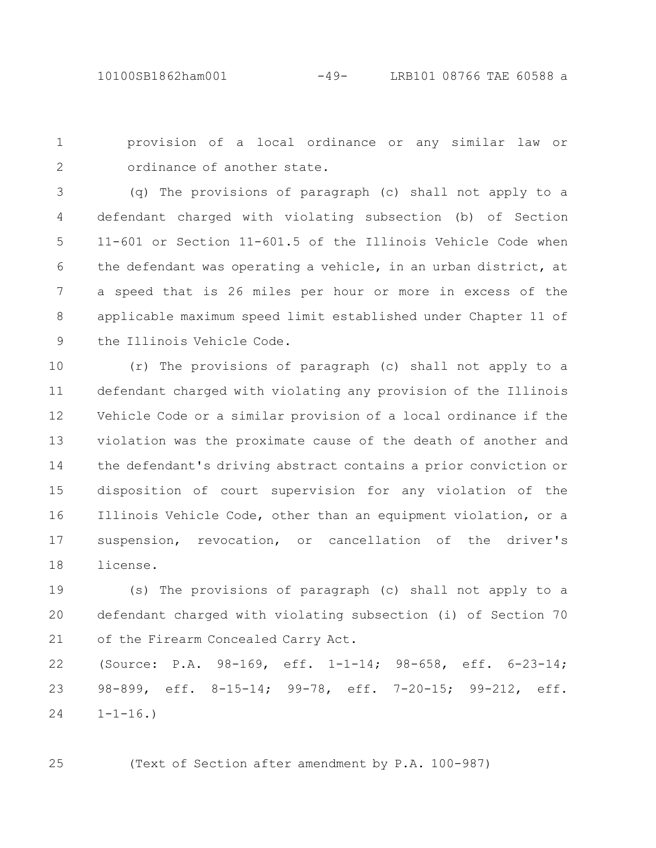provision of a local ordinance or any similar law or ordinance of another state. 1 2

(q) The provisions of paragraph (c) shall not apply to a defendant charged with violating subsection (b) of Section 11-601 or Section 11-601.5 of the Illinois Vehicle Code when the defendant was operating a vehicle, in an urban district, at a speed that is 26 miles per hour or more in excess of the applicable maximum speed limit established under Chapter 11 of the Illinois Vehicle Code. 3 4 5 6 7 8 9

(r) The provisions of paragraph (c) shall not apply to a defendant charged with violating any provision of the Illinois Vehicle Code or a similar provision of a local ordinance if the violation was the proximate cause of the death of another and the defendant's driving abstract contains a prior conviction or disposition of court supervision for any violation of the Illinois Vehicle Code, other than an equipment violation, or a suspension, revocation, or cancellation of the driver's license. 10 11 12 13 14 15 16 17 18

(s) The provisions of paragraph (c) shall not apply to a defendant charged with violating subsection (i) of Section 70 of the Firearm Concealed Carry Act. 19 20 21

(Source: P.A. 98-169, eff. 1-1-14; 98-658, eff. 6-23-14; 98-899, eff. 8-15-14; 99-78, eff. 7-20-15; 99-212, eff.  $1 - 1 - 16.$ 22 23 24

25

(Text of Section after amendment by P.A. 100-987)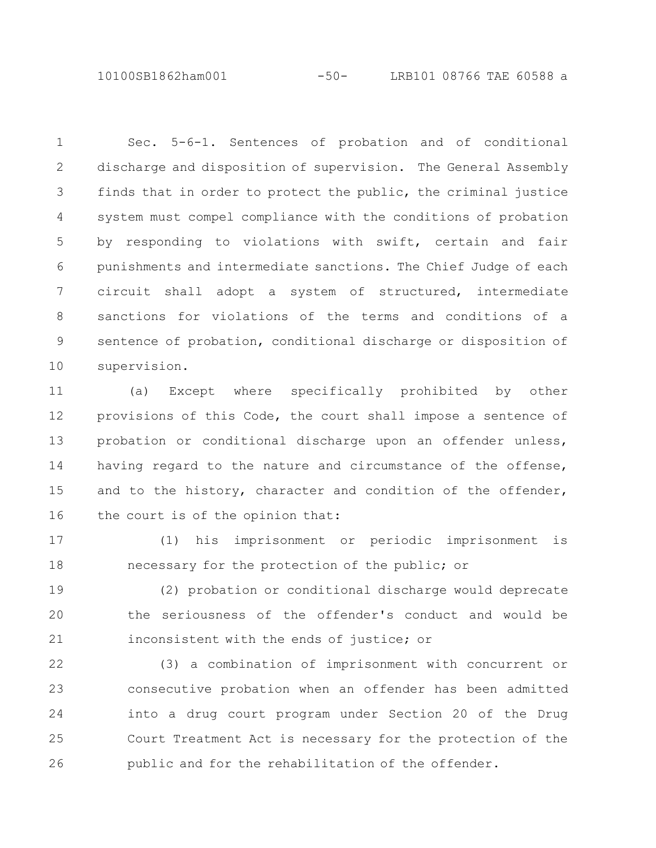10100SB1862ham001 -50- LRB101 08766 TAE 60588 a

Sec. 5-6-1. Sentences of probation and of conditional discharge and disposition of supervision. The General Assembly finds that in order to protect the public, the criminal justice system must compel compliance with the conditions of probation by responding to violations with swift, certain and fair punishments and intermediate sanctions. The Chief Judge of each circuit shall adopt a system of structured, intermediate sanctions for violations of the terms and conditions of a sentence of probation, conditional discharge or disposition of supervision. 1 2 3 4 5 6 7 8 9 10

(a) Except where specifically prohibited by other provisions of this Code, the court shall impose a sentence of probation or conditional discharge upon an offender unless, having regard to the nature and circumstance of the offense, and to the history, character and condition of the offender, the court is of the opinion that: 11 12 13 14 15 16

(1) his imprisonment or periodic imprisonment is necessary for the protection of the public; or 17 18

(2) probation or conditional discharge would deprecate the seriousness of the offender's conduct and would be inconsistent with the ends of justice; or 19 20 21

(3) a combination of imprisonment with concurrent or consecutive probation when an offender has been admitted into a drug court program under Section 20 of the Drug Court Treatment Act is necessary for the protection of the public and for the rehabilitation of the offender. 22 23 24 25 26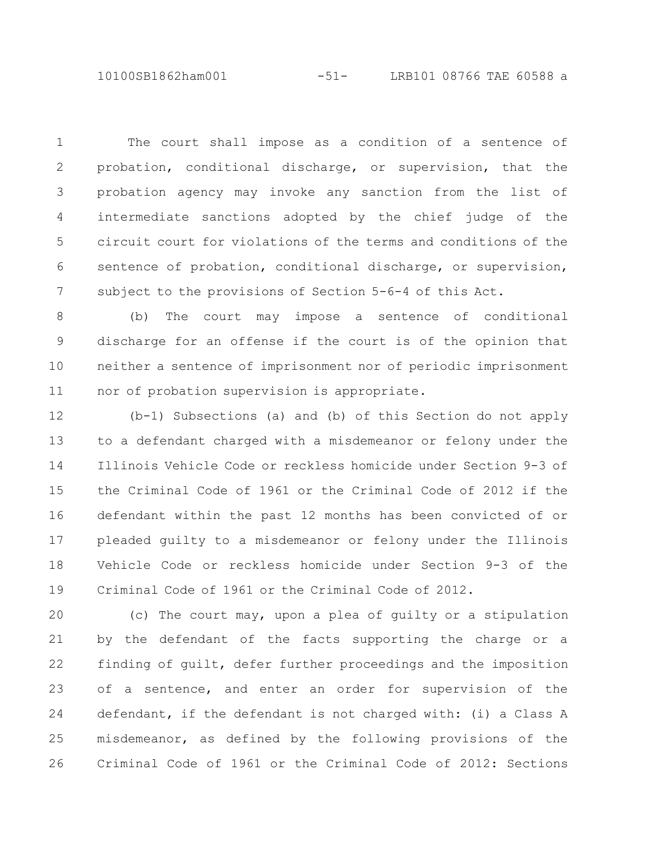10100SB1862ham001 -51- LRB101 08766 TAE 60588 a

The court shall impose as a condition of a sentence of probation, conditional discharge, or supervision, that the probation agency may invoke any sanction from the list of intermediate sanctions adopted by the chief judge of the circuit court for violations of the terms and conditions of the sentence of probation, conditional discharge, or supervision, subject to the provisions of Section 5-6-4 of this Act. 1 2 3 4 5 6 7

(b) The court may impose a sentence of conditional discharge for an offense if the court is of the opinion that neither a sentence of imprisonment nor of periodic imprisonment nor of probation supervision is appropriate. 8 9 10 11

(b-1) Subsections (a) and (b) of this Section do not apply to a defendant charged with a misdemeanor or felony under the Illinois Vehicle Code or reckless homicide under Section 9-3 of the Criminal Code of 1961 or the Criminal Code of 2012 if the defendant within the past 12 months has been convicted of or pleaded guilty to a misdemeanor or felony under the Illinois Vehicle Code or reckless homicide under Section 9-3 of the Criminal Code of 1961 or the Criminal Code of 2012. 12 13 14 15 16 17 18 19

(c) The court may, upon a plea of guilty or a stipulation by the defendant of the facts supporting the charge or a finding of guilt, defer further proceedings and the imposition of a sentence, and enter an order for supervision of the defendant, if the defendant is not charged with: (i) a Class A misdemeanor, as defined by the following provisions of the Criminal Code of 1961 or the Criminal Code of 2012: Sections 20 21 22 23 24 25 26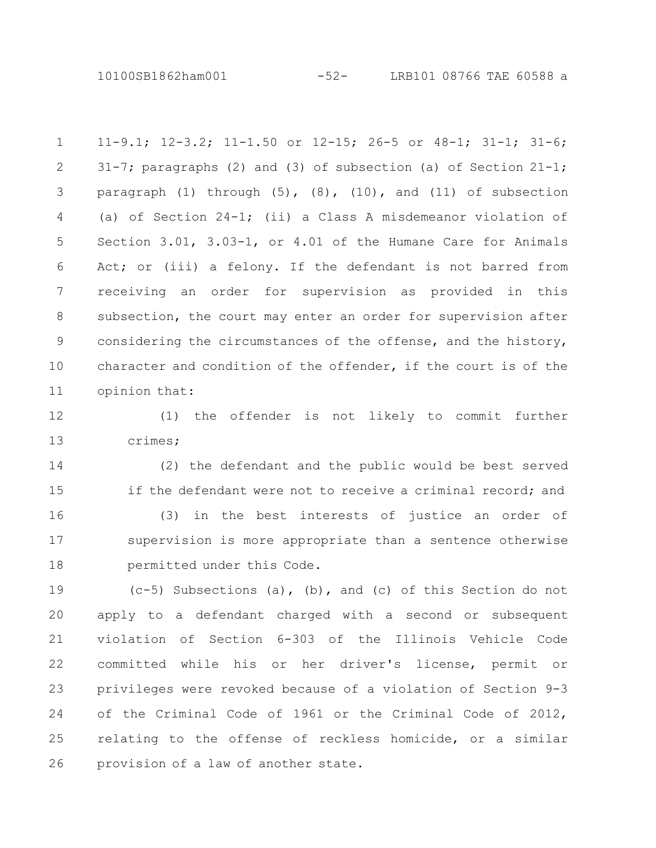10100SB1862ham001 -52- LRB101 08766 TAE 60588 a

11-9.1; 12-3.2; 11-1.50 or 12-15; 26-5 or 48-1; 31-1; 31-6; 31-7; paragraphs (2) and (3) of subsection (a) of Section 21-1; paragraph  $(1)$  through  $(5)$ ,  $(8)$ ,  $(10)$ , and  $(11)$  of subsection (a) of Section 24-1; (ii) a Class A misdemeanor violation of Section 3.01, 3.03-1, or 4.01 of the Humane Care for Animals Act; or (iii) a felony. If the defendant is not barred from receiving an order for supervision as provided in this subsection, the court may enter an order for supervision after considering the circumstances of the offense, and the history, character and condition of the offender, if the court is of the opinion that: 1 2 3 4 5 6 7 8 9 10 11

(1) the offender is not likely to commit further crimes; 12 13

(2) the defendant and the public would be best served if the defendant were not to receive a criminal record; and (3) in the best interests of justice an order of supervision is more appropriate than a sentence otherwise permitted under this Code. 14 15 16 17 18

 $(c-5)$  Subsections (a), (b), and (c) of this Section do not apply to a defendant charged with a second or subsequent violation of Section 6-303 of the Illinois Vehicle Code committed while his or her driver's license, permit or privileges were revoked because of a violation of Section 9-3 of the Criminal Code of 1961 or the Criminal Code of 2012, relating to the offense of reckless homicide, or a similar provision of a law of another state. 19 20 21 22 23 24 25 26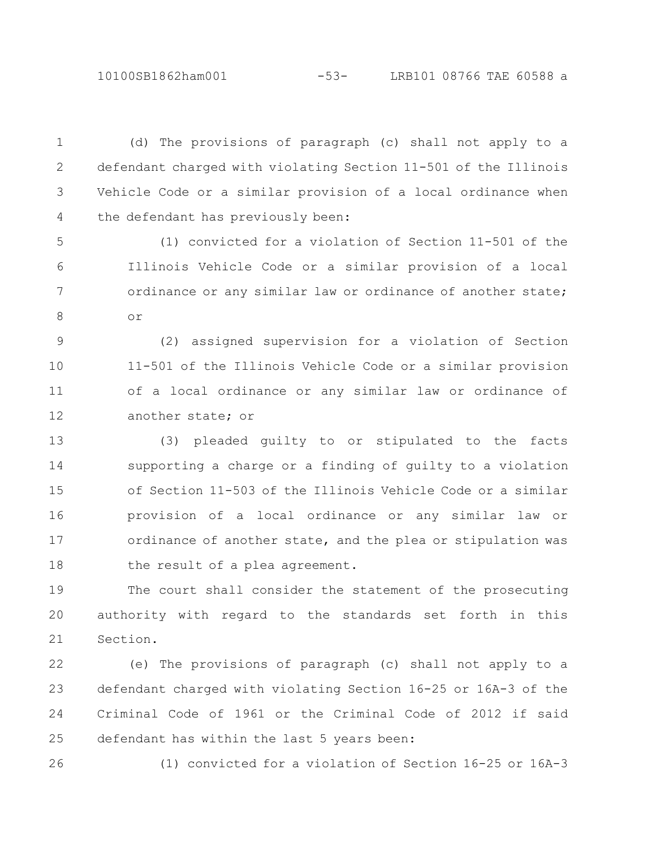10100SB1862ham001 -53- LRB101 08766 TAE 60588 a

(d) The provisions of paragraph (c) shall not apply to a defendant charged with violating Section 11-501 of the Illinois Vehicle Code or a similar provision of a local ordinance when the defendant has previously been: 1 2 3 4

(1) convicted for a violation of Section 11-501 of the Illinois Vehicle Code or a similar provision of a local ordinance or any similar law or ordinance of another state; or 5 6 7 8

(2) assigned supervision for a violation of Section 11-501 of the Illinois Vehicle Code or a similar provision of a local ordinance or any similar law or ordinance of another state; or 9 10 11 12

(3) pleaded guilty to or stipulated to the facts supporting a charge or a finding of guilty to a violation of Section 11-503 of the Illinois Vehicle Code or a similar provision of a local ordinance or any similar law or ordinance of another state, and the plea or stipulation was the result of a plea agreement. 13 14 15 16 17 18

The court shall consider the statement of the prosecuting authority with regard to the standards set forth in this Section. 19 20 21

(e) The provisions of paragraph (c) shall not apply to a defendant charged with violating Section 16-25 or 16A-3 of the Criminal Code of 1961 or the Criminal Code of 2012 if said defendant has within the last 5 years been: 22 23 24 25

26

(1) convicted for a violation of Section 16-25 or 16A-3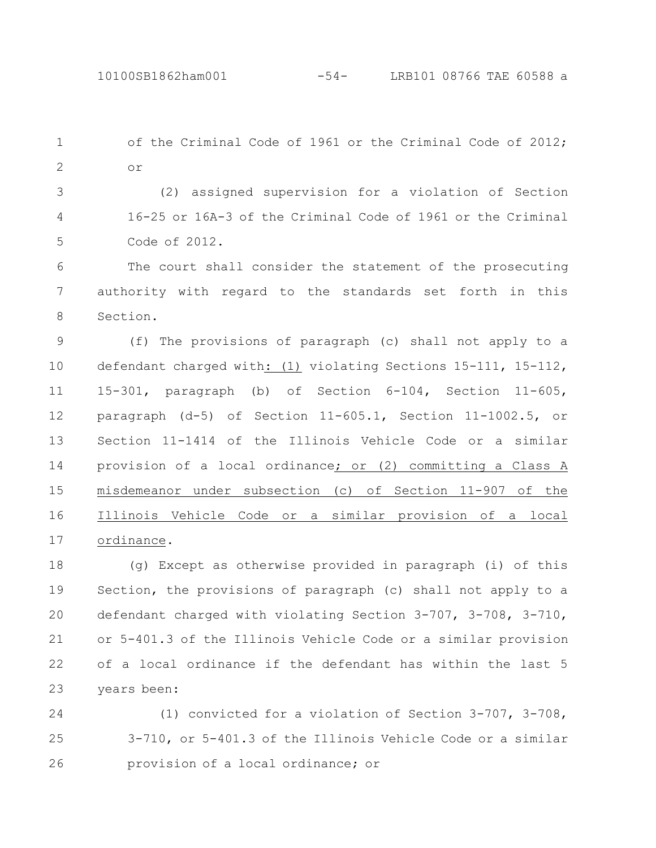of the Criminal Code of 1961 or the Criminal Code of 2012; or 1 2

(2) assigned supervision for a violation of Section 16-25 or 16A-3 of the Criminal Code of 1961 or the Criminal Code of 2012. 3 4 5

The court shall consider the statement of the prosecuting authority with regard to the standards set forth in this Section. 6 7 8

(f) The provisions of paragraph (c) shall not apply to a defendant charged with: (1) violating Sections 15-111, 15-112, 15-301, paragraph (b) of Section 6-104, Section 11-605, paragraph (d-5) of Section 11-605.1, Section 11-1002.5, or Section 11-1414 of the Illinois Vehicle Code or a similar provision of a local ordinance; or (2) committing a Class A misdemeanor under subsection (c) of Section 11-907 of the Illinois Vehicle Code or a similar provision of a local ordinance. 9 10 11 12 13 14 15 16 17

(g) Except as otherwise provided in paragraph (i) of this Section, the provisions of paragraph (c) shall not apply to a defendant charged with violating Section 3-707, 3-708, 3-710, or 5-401.3 of the Illinois Vehicle Code or a similar provision of a local ordinance if the defendant has within the last 5 years been: 18 19 20 21 22 23

(1) convicted for a violation of Section 3-707, 3-708, 3-710, or 5-401.3 of the Illinois Vehicle Code or a similar provision of a local ordinance; or 24 25 26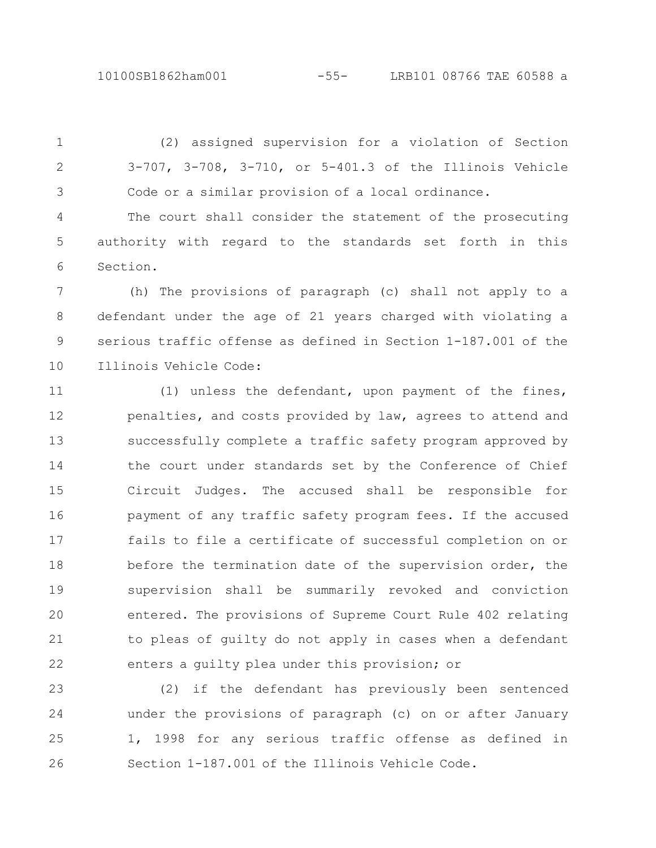(2) assigned supervision for a violation of Section 3-707, 3-708, 3-710, or 5-401.3 of the Illinois Vehicle Code or a similar provision of a local ordinance. 2 3

The court shall consider the statement of the prosecuting authority with regard to the standards set forth in this Section. 4 5 6

(h) The provisions of paragraph (c) shall not apply to a defendant under the age of 21 years charged with violating a serious traffic offense as defined in Section 1-187.001 of the Illinois Vehicle Code: 7 8 9 10

(1) unless the defendant, upon payment of the fines, penalties, and costs provided by law, agrees to attend and successfully complete a traffic safety program approved by the court under standards set by the Conference of Chief Circuit Judges. The accused shall be responsible for payment of any traffic safety program fees. If the accused fails to file a certificate of successful completion on or before the termination date of the supervision order, the supervision shall be summarily revoked and conviction entered. The provisions of Supreme Court Rule 402 relating to pleas of guilty do not apply in cases when a defendant enters a guilty plea under this provision; or 11 12 13 14 15 16 17 18 19 20 21 22

(2) if the defendant has previously been sentenced under the provisions of paragraph (c) on or after January 1, 1998 for any serious traffic offense as defined in Section 1-187.001 of the Illinois Vehicle Code. 23 24 25 26

## 1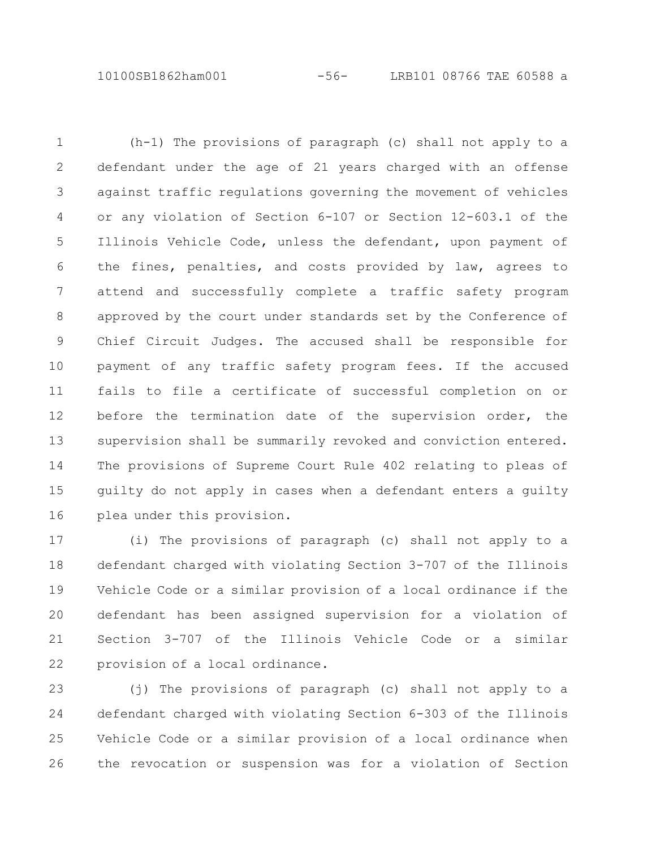10100SB1862ham001 -56- LRB101 08766 TAE 60588 a

(h-1) The provisions of paragraph (c) shall not apply to a defendant under the age of 21 years charged with an offense against traffic regulations governing the movement of vehicles or any violation of Section 6-107 or Section 12-603.1 of the Illinois Vehicle Code, unless the defendant, upon payment of the fines, penalties, and costs provided by law, agrees to attend and successfully complete a traffic safety program approved by the court under standards set by the Conference of Chief Circuit Judges. The accused shall be responsible for payment of any traffic safety program fees. If the accused fails to file a certificate of successful completion on or before the termination date of the supervision order, the supervision shall be summarily revoked and conviction entered. The provisions of Supreme Court Rule 402 relating to pleas of guilty do not apply in cases when a defendant enters a guilty plea under this provision. 1 2 3 4 5 6 7 8 9 10 11 12 13 14 15 16

(i) The provisions of paragraph (c) shall not apply to a defendant charged with violating Section 3-707 of the Illinois Vehicle Code or a similar provision of a local ordinance if the defendant has been assigned supervision for a violation of Section 3-707 of the Illinois Vehicle Code or a similar provision of a local ordinance. 17 18 19 20 21 22

(j) The provisions of paragraph (c) shall not apply to a defendant charged with violating Section 6-303 of the Illinois Vehicle Code or a similar provision of a local ordinance when the revocation or suspension was for a violation of Section 23 24 25 26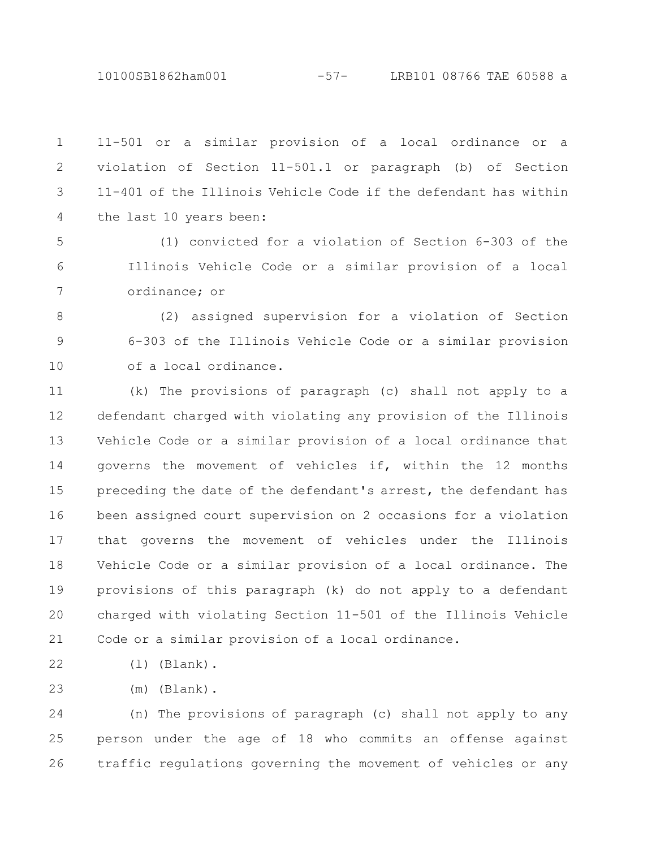10100SB1862ham001 -57- LRB101 08766 TAE 60588 a

11-501 or a similar provision of a local ordinance or a violation of Section 11-501.1 or paragraph (b) of Section 11-401 of the Illinois Vehicle Code if the defendant has within the last 10 years been: 1 2 3 4

(1) convicted for a violation of Section 6-303 of the Illinois Vehicle Code or a similar provision of a local ordinance; or 5 6 7

(2) assigned supervision for a violation of Section 6-303 of the Illinois Vehicle Code or a similar provision of a local ordinance. 8 9 10

(k) The provisions of paragraph (c) shall not apply to a defendant charged with violating any provision of the Illinois Vehicle Code or a similar provision of a local ordinance that governs the movement of vehicles if, within the 12 months preceding the date of the defendant's arrest, the defendant has been assigned court supervision on 2 occasions for a violation that governs the movement of vehicles under the Illinois Vehicle Code or a similar provision of a local ordinance. The provisions of this paragraph (k) do not apply to a defendant charged with violating Section 11-501 of the Illinois Vehicle Code or a similar provision of a local ordinance. 11 12 13 14 15 16 17 18 19 20 21

(l) (Blank). 22

(m) (Blank). 23

(n) The provisions of paragraph (c) shall not apply to any person under the age of 18 who commits an offense against traffic regulations governing the movement of vehicles or any 24 25 26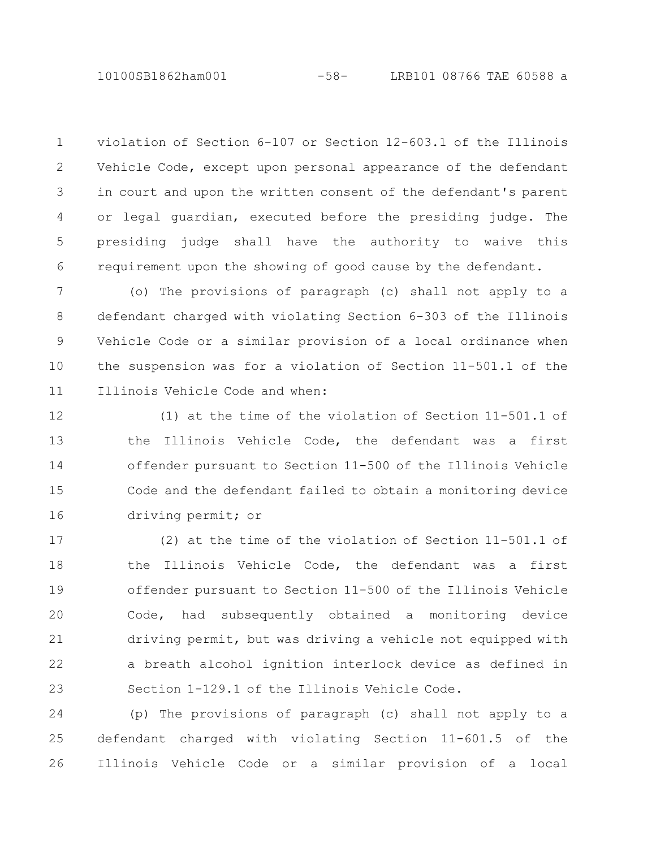violation of Section 6-107 or Section 12-603.1 of the Illinois Vehicle Code, except upon personal appearance of the defendant in court and upon the written consent of the defendant's parent or legal guardian, executed before the presiding judge. The presiding judge shall have the authority to waive this requirement upon the showing of good cause by the defendant. 1 2 3 4 5 6

(o) The provisions of paragraph (c) shall not apply to a defendant charged with violating Section 6-303 of the Illinois Vehicle Code or a similar provision of a local ordinance when the suspension was for a violation of Section 11-501.1 of the Illinois Vehicle Code and when: 7 8 9 10 11

(1) at the time of the violation of Section 11-501.1 of the Illinois Vehicle Code, the defendant was a first offender pursuant to Section 11-500 of the Illinois Vehicle Code and the defendant failed to obtain a monitoring device driving permit; or 12 13 14 15 16

(2) at the time of the violation of Section 11-501.1 of the Illinois Vehicle Code, the defendant was a first offender pursuant to Section 11-500 of the Illinois Vehicle Code, had subsequently obtained a monitoring device driving permit, but was driving a vehicle not equipped with a breath alcohol ignition interlock device as defined in Section 1-129.1 of the Illinois Vehicle Code. 17 18 19 20 21 22 23

(p) The provisions of paragraph (c) shall not apply to a defendant charged with violating Section 11-601.5 of the Illinois Vehicle Code or a similar provision of a local 24 25 26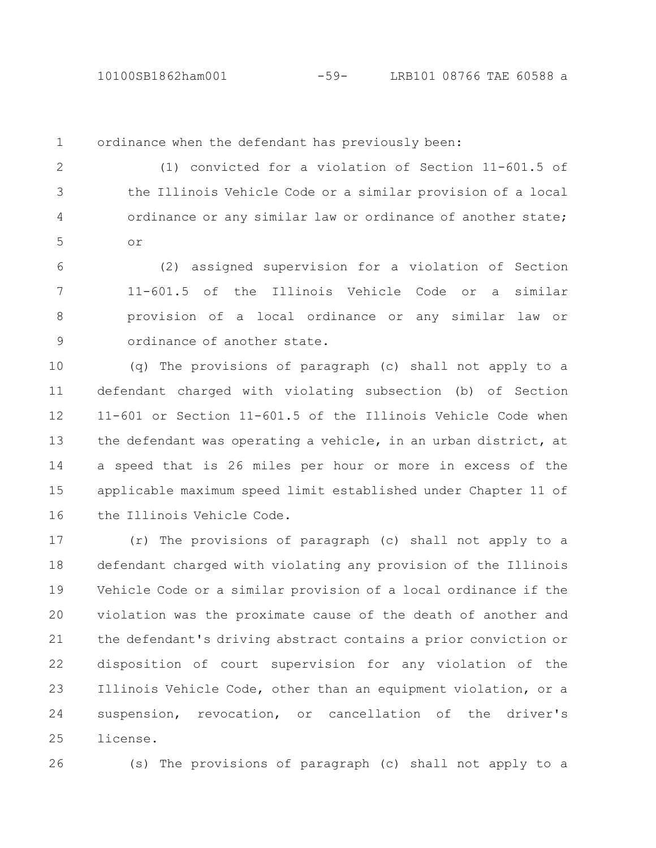1

ordinance when the defendant has previously been:

(1) convicted for a violation of Section 11-601.5 of the Illinois Vehicle Code or a similar provision of a local ordinance or any similar law or ordinance of another state; or 2 3 4 5

(2) assigned supervision for a violation of Section 11-601.5 of the Illinois Vehicle Code or a similar provision of a local ordinance or any similar law or ordinance of another state. 6 7 8 9

(q) The provisions of paragraph (c) shall not apply to a defendant charged with violating subsection (b) of Section 11-601 or Section 11-601.5 of the Illinois Vehicle Code when the defendant was operating a vehicle, in an urban district, at a speed that is 26 miles per hour or more in excess of the applicable maximum speed limit established under Chapter 11 of the Illinois Vehicle Code. 10 11 12 13 14 15 16

(r) The provisions of paragraph (c) shall not apply to a defendant charged with violating any provision of the Illinois Vehicle Code or a similar provision of a local ordinance if the violation was the proximate cause of the death of another and the defendant's driving abstract contains a prior conviction or disposition of court supervision for any violation of the Illinois Vehicle Code, other than an equipment violation, or a suspension, revocation, or cancellation of the driver's license. 17 18 19 20 21 22 23 24 25

26

(s) The provisions of paragraph (c) shall not apply to a